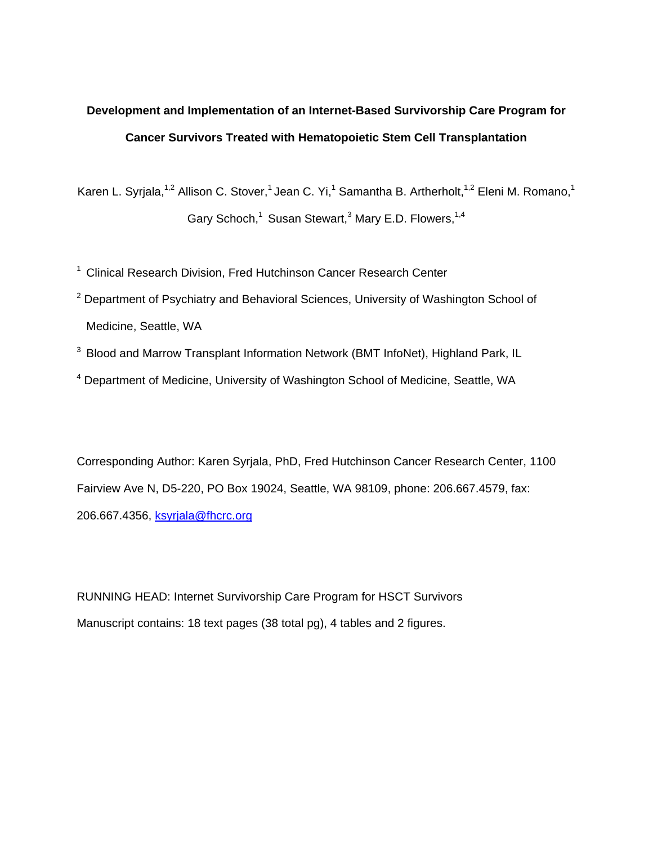# **Development and Implementation of an Internet-Based Survivorship Care Program for Cancer Survivors Treated with Hematopoietic Stem Cell Transplantation**

Karen L. Syrjala,<sup>1,2</sup> Allison C. Stover,<sup>1</sup> Jean C. Yi,<sup>1</sup> Samantha B. Artherholt,<sup>1,2</sup> Eleni M. Romano,<sup>1</sup> Gary Schoch,<sup>1</sup> Susan Stewart,<sup>3</sup> Mary E.D. Flowers,<sup>1,4</sup>

<sup>1</sup> Clinical Research Division, Fred Hutchinson Cancer Research Center

- <sup>2</sup> Department of Psychiatry and Behavioral Sciences, University of Washington School of Medicine, Seattle, WA
- $^3$  Blood and Marrow Transplant Information Network (BMT InfoNet), Highland Park, IL
- <sup>4</sup> Department of Medicine, University of Washington School of Medicine, Seattle, WA

Corresponding Author: Karen Syrjala, PhD, Fred Hutchinson Cancer Research Center, 1100 Fairview Ave N, D5-220, PO Box 19024, Seattle, WA 98109, phone: 206.667.4579, fax: 206.667.4356, ksyrjala@fhcrc.org

RUNNING HEAD: Internet Survivorship Care Program for HSCT Survivors Manuscript contains: 18 text pages (38 total pg), 4 tables and 2 figures.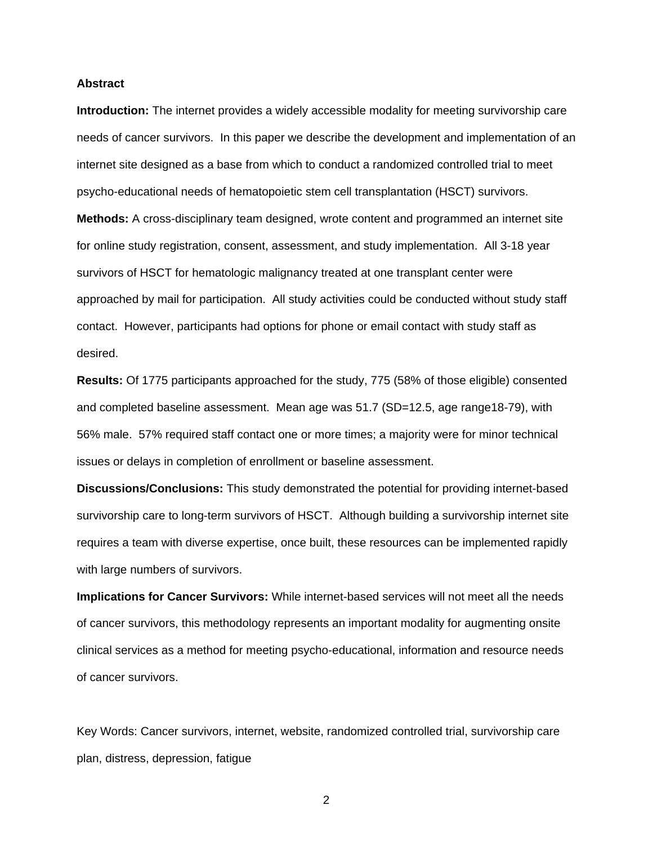#### **Abstract**

**Introduction:** The internet provides a widely accessible modality for meeting survivorship care needs of cancer survivors. In this paper we describe the development and implementation of an internet site designed as a base from which to conduct a randomized controlled trial to meet psycho-educational needs of hematopoietic stem cell transplantation (HSCT) survivors. **Methods:** A cross-disciplinary team designed, wrote content and programmed an internet site for online study registration, consent, assessment, and study implementation. All 3-18 year survivors of HSCT for hematologic malignancy treated at one transplant center were approached by mail for participation. All study activities could be conducted without study staff contact. However, participants had options for phone or email contact with study staff as desired.

**Results:** Of 1775 participants approached for the study, 775 (58% of those eligible) consented and completed baseline assessment. Mean age was 51.7 (SD=12.5, age range18-79), with 56% male. 57% required staff contact one or more times; a majority were for minor technical issues or delays in completion of enrollment or baseline assessment.

**Discussions/Conclusions:** This study demonstrated the potential for providing internet-based survivorship care to long-term survivors of HSCT. Although building a survivorship internet site requires a team with diverse expertise, once built, these resources can be implemented rapidly with large numbers of survivors.

**Implications for Cancer Survivors:** While internet-based services will not meet all the needs of cancer survivors, this methodology represents an important modality for augmenting onsite clinical services as a method for meeting psycho-educational, information and resource needs of cancer survivors.

Key Words: Cancer survivors, internet, website, randomized controlled trial, survivorship care plan, distress, depression, fatigue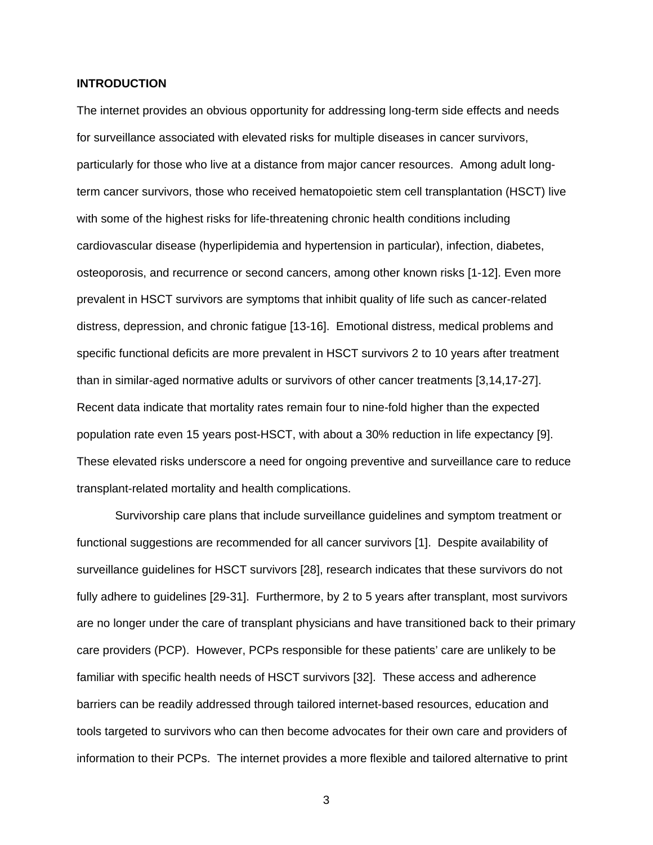# **INTRODUCTION**

The internet provides an obvious opportunity for addressing long-term side effects and needs for surveillance associated with elevated risks for multiple diseases in cancer survivors, particularly for those who live at a distance from major cancer resources. Among adult longterm cancer survivors, those who received hematopoietic stem cell transplantation (HSCT) live with some of the highest risks for life-threatening chronic health conditions including cardiovascular disease (hyperlipidemia and hypertension in particular), infection, diabetes, osteoporosis, and recurrence or second cancers, among other known risks [1-12]. Even more prevalent in HSCT survivors are symptoms that inhibit quality of life such as cancer-related distress, depression, and chronic fatigue [13-16]. Emotional distress, medical problems and specific functional deficits are more prevalent in HSCT survivors 2 to 10 years after treatment than in similar-aged normative adults or survivors of other cancer treatments [3,14,17-27]. Recent data indicate that mortality rates remain four to nine-fold higher than the expected population rate even 15 years post-HSCT, with about a 30% reduction in life expectancy [9]. These elevated risks underscore a need for ongoing preventive and surveillance care to reduce transplant-related mortality and health complications.

 Survivorship care plans that include surveillance guidelines and symptom treatment or functional suggestions are recommended for all cancer survivors [1]. Despite availability of surveillance guidelines for HSCT survivors [28], research indicates that these survivors do not fully adhere to guidelines [29-31]. Furthermore, by 2 to 5 years after transplant, most survivors are no longer under the care of transplant physicians and have transitioned back to their primary care providers (PCP). However, PCPs responsible for these patients' care are unlikely to be familiar with specific health needs of HSCT survivors [32]. These access and adherence barriers can be readily addressed through tailored internet-based resources, education and tools targeted to survivors who can then become advocates for their own care and providers of information to their PCPs. The internet provides a more flexible and tailored alternative to print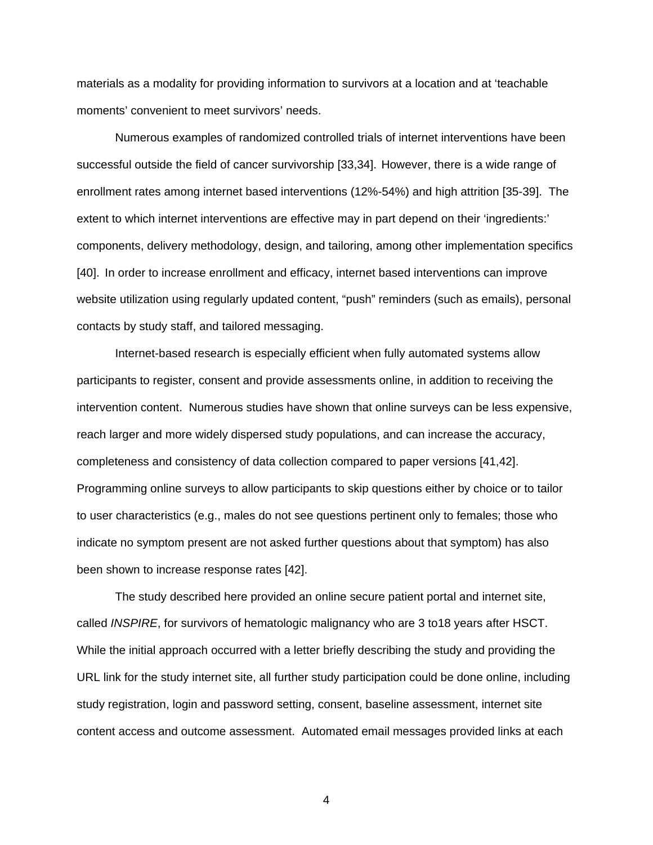materials as a modality for providing information to survivors at a location and at 'teachable moments' convenient to meet survivors' needs.

 Numerous examples of randomized controlled trials of internet interventions have been successful outside the field of cancer survivorship [33,34]. However, there is a wide range of enrollment rates among internet based interventions (12%-54%) and high attrition [35-39]. The extent to which internet interventions are effective may in part depend on their 'ingredients:' components, delivery methodology, design, and tailoring, among other implementation specifics [40]. In order to increase enrollment and efficacy, internet based interventions can improve website utilization using regularly updated content, "push" reminders (such as emails), personal contacts by study staff, and tailored messaging.

 Internet-based research is especially efficient when fully automated systems allow participants to register, consent and provide assessments online, in addition to receiving the intervention content. Numerous studies have shown that online surveys can be less expensive, reach larger and more widely dispersed study populations, and can increase the accuracy, completeness and consistency of data collection compared to paper versions [41,42]. Programming online surveys to allow participants to skip questions either by choice or to tailor to user characteristics (e.g., males do not see questions pertinent only to females; those who indicate no symptom present are not asked further questions about that symptom) has also been shown to increase response rates [42].

The study described here provided an online secure patient portal and internet site, called *INSPIRE*, for survivors of hematologic malignancy who are 3 to18 years after HSCT. While the initial approach occurred with a letter briefly describing the study and providing the URL link for the study internet site, all further study participation could be done online, including study registration, login and password setting, consent, baseline assessment, internet site content access and outcome assessment. Automated email messages provided links at each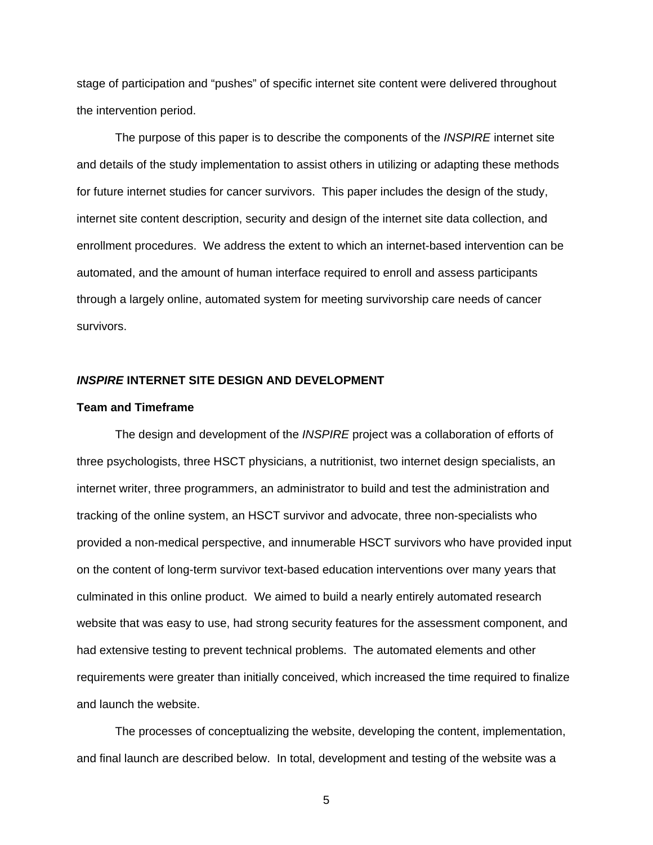stage of participation and "pushes" of specific internet site content were delivered throughout the intervention period.

The purpose of this paper is to describe the components of the *INSPIRE* internet site and details of the study implementation to assist others in utilizing or adapting these methods for future internet studies for cancer survivors. This paper includes the design of the study, internet site content description, security and design of the internet site data collection, and enrollment procedures. We address the extent to which an internet-based intervention can be automated, and the amount of human interface required to enroll and assess participants through a largely online, automated system for meeting survivorship care needs of cancer survivors.

#### *INSPIRE* **INTERNET SITE DESIGN AND DEVELOPMENT**

#### **Team and Timeframe**

The design and development of the *INSPIRE* project was a collaboration of efforts of three psychologists, three HSCT physicians, a nutritionist, two internet design specialists, an internet writer, three programmers, an administrator to build and test the administration and tracking of the online system, an HSCT survivor and advocate, three non-specialists who provided a non-medical perspective, and innumerable HSCT survivors who have provided input on the content of long-term survivor text-based education interventions over many years that culminated in this online product. We aimed to build a nearly entirely automated research website that was easy to use, had strong security features for the assessment component, and had extensive testing to prevent technical problems. The automated elements and other requirements were greater than initially conceived, which increased the time required to finalize and launch the website.

 The processes of conceptualizing the website, developing the content, implementation, and final launch are described below. In total, development and testing of the website was a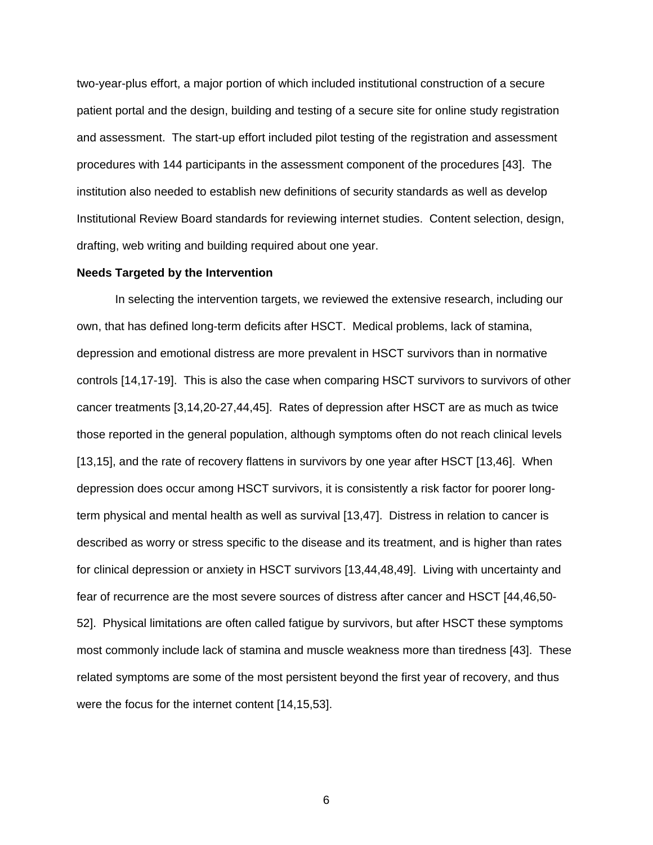two-year-plus effort, a major portion of which included institutional construction of a secure patient portal and the design, building and testing of a secure site for online study registration and assessment. The start-up effort included pilot testing of the registration and assessment procedures with 144 participants in the assessment component of the procedures [43]. The institution also needed to establish new definitions of security standards as well as develop Institutional Review Board standards for reviewing internet studies. Content selection, design, drafting, web writing and building required about one year.

#### **Needs Targeted by the Intervention**

 In selecting the intervention targets, we reviewed the extensive research, including our own, that has defined long-term deficits after HSCT. Medical problems, lack of stamina, depression and emotional distress are more prevalent in HSCT survivors than in normative controls [14,17-19]. This is also the case when comparing HSCT survivors to survivors of other cancer treatments [3,14,20-27,44,45]. Rates of depression after HSCT are as much as twice those reported in the general population, although symptoms often do not reach clinical levels [13,15], and the rate of recovery flattens in survivors by one year after HSCT [13,46]. When depression does occur among HSCT survivors, it is consistently a risk factor for poorer longterm physical and mental health as well as survival [13,47]. Distress in relation to cancer is described as worry or stress specific to the disease and its treatment, and is higher than rates for clinical depression or anxiety in HSCT survivors [13,44,48,49]. Living with uncertainty and fear of recurrence are the most severe sources of distress after cancer and HSCT [44,46,50- 52]. Physical limitations are often called fatigue by survivors, but after HSCT these symptoms most commonly include lack of stamina and muscle weakness more than tiredness [43]. These related symptoms are some of the most persistent beyond the first year of recovery, and thus were the focus for the internet content [14,15,53].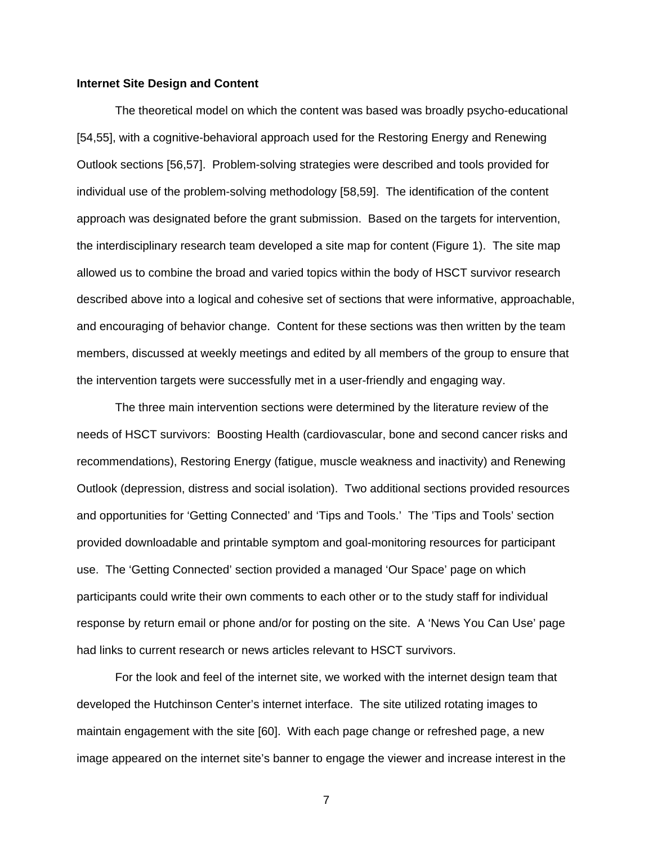#### **Internet Site Design and Content**

 The theoretical model on which the content was based was broadly psycho-educational [54,55], with a cognitive-behavioral approach used for the Restoring Energy and Renewing Outlook sections [56,57]. Problem-solving strategies were described and tools provided for individual use of the problem-solving methodology [58,59]. The identification of the content approach was designated before the grant submission. Based on the targets for intervention, the interdisciplinary research team developed a site map for content (Figure 1). The site map allowed us to combine the broad and varied topics within the body of HSCT survivor research described above into a logical and cohesive set of sections that were informative, approachable, and encouraging of behavior change. Content for these sections was then written by the team members, discussed at weekly meetings and edited by all members of the group to ensure that the intervention targets were successfully met in a user-friendly and engaging way.

The three main intervention sections were determined by the literature review of the needs of HSCT survivors: Boosting Health (cardiovascular, bone and second cancer risks and recommendations), Restoring Energy (fatigue, muscle weakness and inactivity) and Renewing Outlook (depression, distress and social isolation). Two additional sections provided resources and opportunities for 'Getting Connected' and 'Tips and Tools.' The 'Tips and Tools' section provided downloadable and printable symptom and goal-monitoring resources for participant use. The 'Getting Connected' section provided a managed 'Our Space' page on which participants could write their own comments to each other or to the study staff for individual response by return email or phone and/or for posting on the site. A 'News You Can Use' page had links to current research or news articles relevant to HSCT survivors.

 For the look and feel of the internet site, we worked with the internet design team that developed the Hutchinson Center's internet interface. The site utilized rotating images to maintain engagement with the site [60]. With each page change or refreshed page, a new image appeared on the internet site's banner to engage the viewer and increase interest in the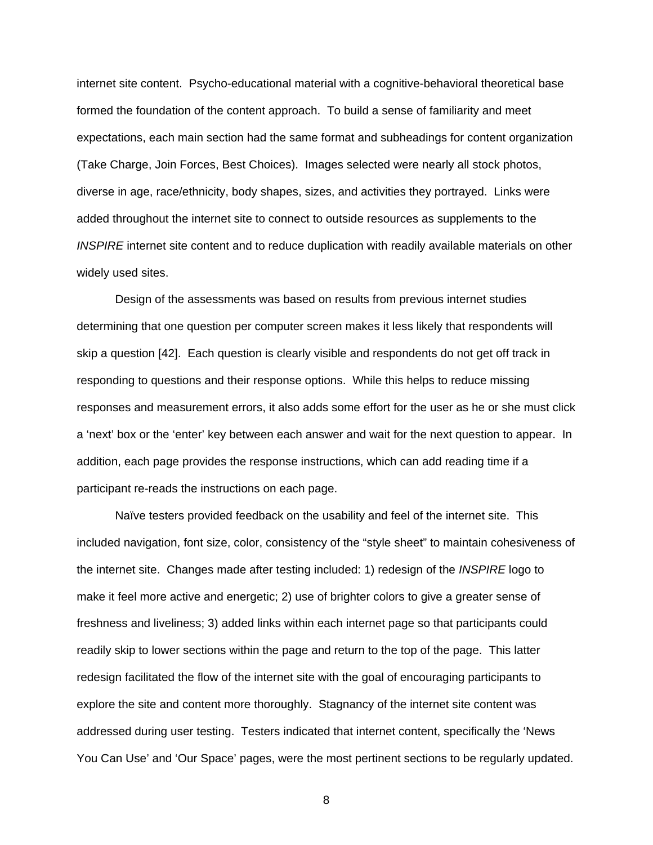internet site content. Psycho-educational material with a cognitive-behavioral theoretical base formed the foundation of the content approach. To build a sense of familiarity and meet expectations, each main section had the same format and subheadings for content organization (Take Charge, Join Forces, Best Choices). Images selected were nearly all stock photos, diverse in age, race/ethnicity, body shapes, sizes, and activities they portrayed. Links were added throughout the internet site to connect to outside resources as supplements to the *INSPIRE* internet site content and to reduce duplication with readily available materials on other widely used sites.

Design of the assessments was based on results from previous internet studies determining that one question per computer screen makes it less likely that respondents will skip a question [42]. Each question is clearly visible and respondents do not get off track in responding to questions and their response options. While this helps to reduce missing responses and measurement errors, it also adds some effort for the user as he or she must click a 'next' box or the 'enter' key between each answer and wait for the next question to appear. In addition, each page provides the response instructions, which can add reading time if a participant re-reads the instructions on each page.

Naïve testers provided feedback on the usability and feel of the internet site. This included navigation, font size, color, consistency of the "style sheet" to maintain cohesiveness of the internet site. Changes made after testing included: 1) redesign of the *INSPIRE* logo to make it feel more active and energetic; 2) use of brighter colors to give a greater sense of freshness and liveliness; 3) added links within each internet page so that participants could readily skip to lower sections within the page and return to the top of the page. This latter redesign facilitated the flow of the internet site with the goal of encouraging participants to explore the site and content more thoroughly. Stagnancy of the internet site content was addressed during user testing. Testers indicated that internet content, specifically the 'News You Can Use' and 'Our Space' pages, were the most pertinent sections to be regularly updated.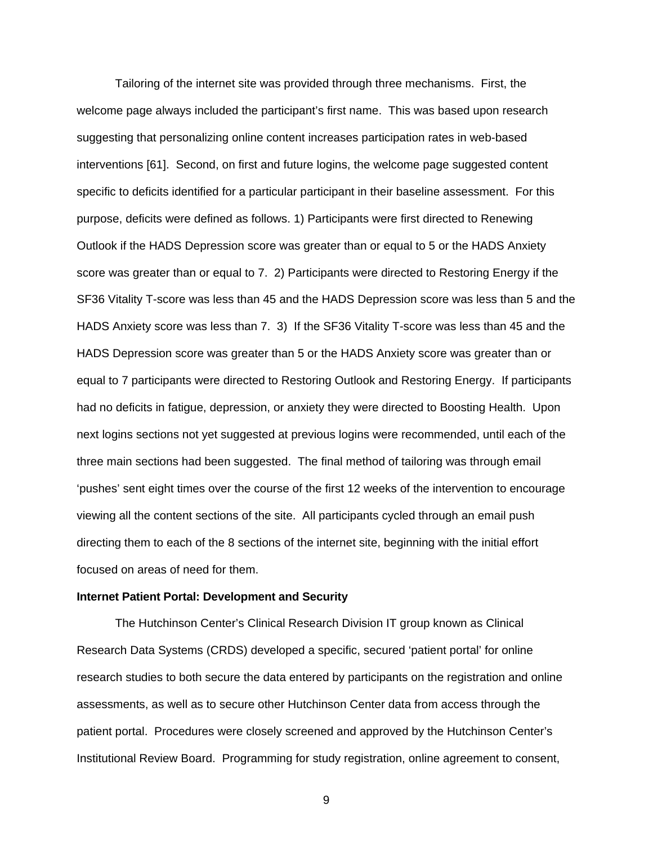Tailoring of the internet site was provided through three mechanisms. First, the welcome page always included the participant's first name. This was based upon research suggesting that personalizing online content increases participation rates in web-based interventions [61]. Second, on first and future logins, the welcome page suggested content specific to deficits identified for a particular participant in their baseline assessment. For this purpose, deficits were defined as follows. 1) Participants were first directed to Renewing Outlook if the HADS Depression score was greater than or equal to 5 or the HADS Anxiety score was greater than or equal to 7. 2) Participants were directed to Restoring Energy if the SF36 Vitality T-score was less than 45 and the HADS Depression score was less than 5 and the HADS Anxiety score was less than 7. 3) If the SF36 Vitality T-score was less than 45 and the HADS Depression score was greater than 5 or the HADS Anxiety score was greater than or equal to 7 participants were directed to Restoring Outlook and Restoring Energy. If participants had no deficits in fatigue, depression, or anxiety they were directed to Boosting Health. Upon next logins sections not yet suggested at previous logins were recommended, until each of the three main sections had been suggested. The final method of tailoring was through email 'pushes' sent eight times over the course of the first 12 weeks of the intervention to encourage viewing all the content sections of the site. All participants cycled through an email push directing them to each of the 8 sections of the internet site, beginning with the initial effort focused on areas of need for them.

#### **Internet Patient Portal: Development and Security**

The Hutchinson Center's Clinical Research Division IT group known as Clinical Research Data Systems (CRDS) developed a specific, secured 'patient portal' for online research studies to both secure the data entered by participants on the registration and online assessments, as well as to secure other Hutchinson Center data from access through the patient portal. Procedures were closely screened and approved by the Hutchinson Center's Institutional Review Board. Programming for study registration, online agreement to consent,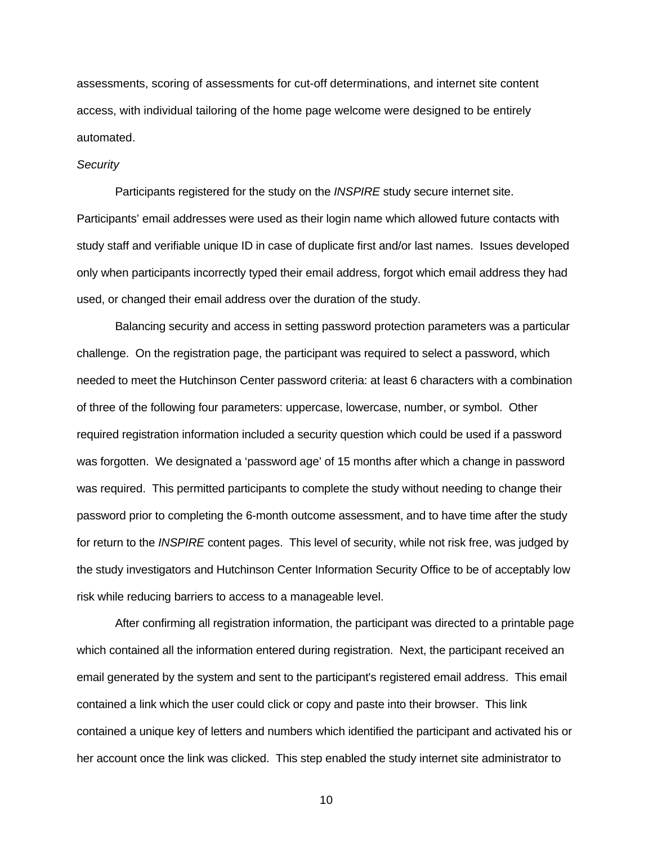assessments, scoring of assessments for cut-off determinations, and internet site content access, with individual tailoring of the home page welcome were designed to be entirely automated.

# *Security*

Participants registered for the study on the *INSPIRE* study secure internet site. Participants' email addresses were used as their login name which allowed future contacts with study staff and verifiable unique ID in case of duplicate first and/or last names. Issues developed only when participants incorrectly typed their email address, forgot which email address they had used, or changed their email address over the duration of the study.

Balancing security and access in setting password protection parameters was a particular challenge. On the registration page, the participant was required to select a password, which needed to meet the Hutchinson Center password criteria: at least 6 characters with a combination of three of the following four parameters: uppercase, lowercase, number, or symbol. Other required registration information included a security question which could be used if a password was forgotten. We designated a 'password age' of 15 months after which a change in password was required. This permitted participants to complete the study without needing to change their password prior to completing the 6-month outcome assessment, and to have time after the study for return to the *INSPIRE* content pages. This level of security, while not risk free, was judged by the study investigators and Hutchinson Center Information Security Office to be of acceptably low risk while reducing barriers to access to a manageable level.

After confirming all registration information, the participant was directed to a printable page which contained all the information entered during registration. Next, the participant received an email generated by the system and sent to the participant's registered email address. This email contained a link which the user could click or copy and paste into their browser. This link contained a unique key of letters and numbers which identified the participant and activated his or her account once the link was clicked. This step enabled the study internet site administrator to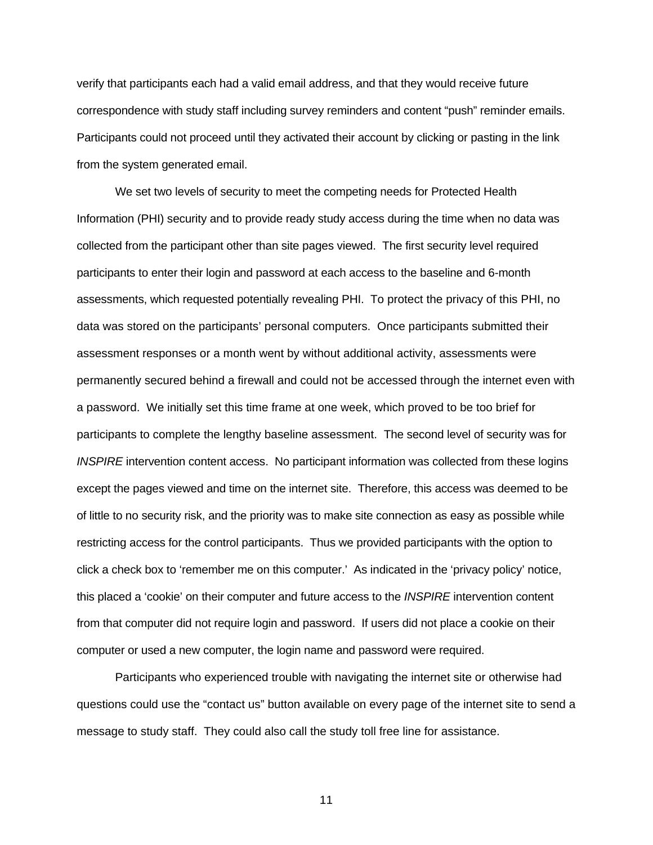verify that participants each had a valid email address, and that they would receive future correspondence with study staff including survey reminders and content "push" reminder emails. Participants could not proceed until they activated their account by clicking or pasting in the link from the system generated email.

We set two levels of security to meet the competing needs for Protected Health Information (PHI) security and to provide ready study access during the time when no data was collected from the participant other than site pages viewed. The first security level required participants to enter their login and password at each access to the baseline and 6-month assessments, which requested potentially revealing PHI. To protect the privacy of this PHI, no data was stored on the participants' personal computers. Once participants submitted their assessment responses or a month went by without additional activity, assessments were permanently secured behind a firewall and could not be accessed through the internet even with a password. We initially set this time frame at one week, which proved to be too brief for participants to complete the lengthy baseline assessment. The second level of security was for *INSPIRE* intervention content access. No participant information was collected from these logins except the pages viewed and time on the internet site. Therefore, this access was deemed to be of little to no security risk, and the priority was to make site connection as easy as possible while restricting access for the control participants. Thus we provided participants with the option to click a check box to 'remember me on this computer.' As indicated in the 'privacy policy' notice, this placed a 'cookie' on their computer and future access to the *INSPIRE* intervention content from that computer did not require login and password. If users did not place a cookie on their computer or used a new computer, the login name and password were required.

 Participants who experienced trouble with navigating the internet site or otherwise had questions could use the "contact us" button available on every page of the internet site to send a message to study staff. They could also call the study toll free line for assistance.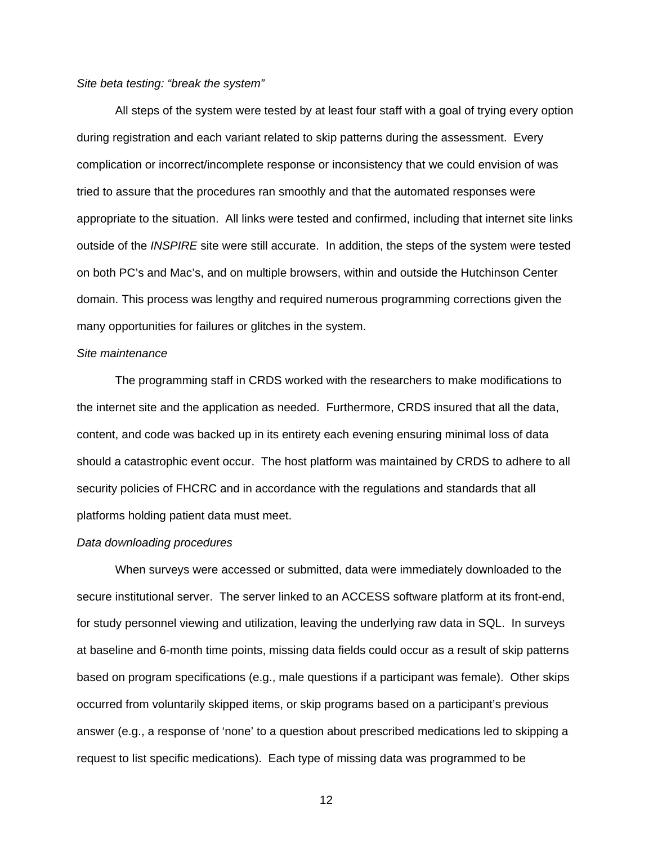## *Site beta testing: "break the system"*

 All steps of the system were tested by at least four staff with a goal of trying every option during registration and each variant related to skip patterns during the assessment. Every complication or incorrect/incomplete response or inconsistency that we could envision of was tried to assure that the procedures ran smoothly and that the automated responses were appropriate to the situation. All links were tested and confirmed, including that internet site links outside of the *INSPIRE* site were still accurate. In addition, the steps of the system were tested on both PC's and Mac's, and on multiple browsers, within and outside the Hutchinson Center domain. This process was lengthy and required numerous programming corrections given the many opportunities for failures or glitches in the system.

## *Site maintenance*

 The programming staff in CRDS worked with the researchers to make modifications to the internet site and the application as needed. Furthermore, CRDS insured that all the data, content, and code was backed up in its entirety each evening ensuring minimal loss of data should a catastrophic event occur. The host platform was maintained by CRDS to adhere to all security policies of FHCRC and in accordance with the regulations and standards that all platforms holding patient data must meet.

#### *Data downloading procedures*

When surveys were accessed or submitted, data were immediately downloaded to the secure institutional server. The server linked to an ACCESS software platform at its front-end, for study personnel viewing and utilization, leaving the underlying raw data in SQL. In surveys at baseline and 6-month time points, missing data fields could occur as a result of skip patterns based on program specifications (e.g., male questions if a participant was female). Other skips occurred from voluntarily skipped items, or skip programs based on a participant's previous answer (e.g., a response of 'none' to a question about prescribed medications led to skipping a request to list specific medications). Each type of missing data was programmed to be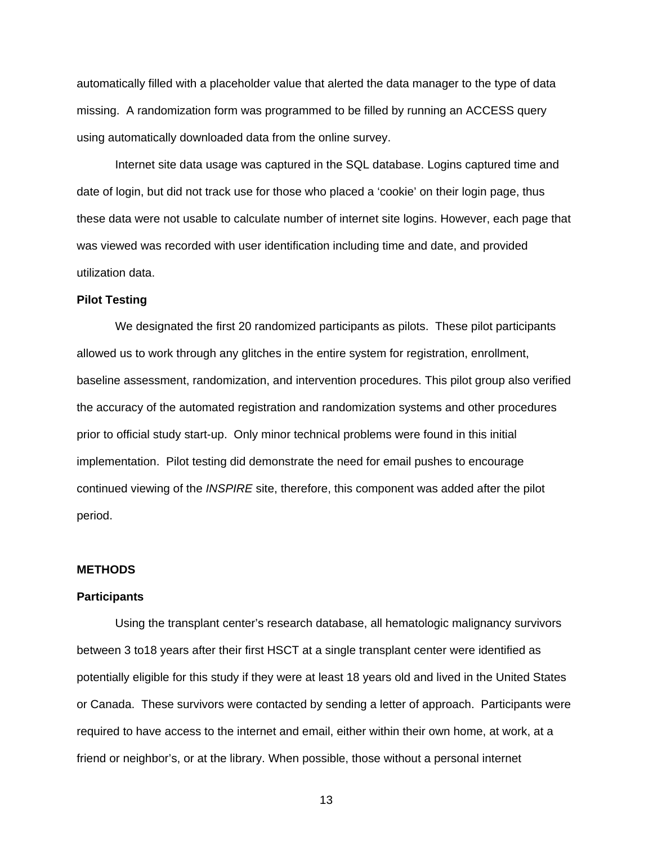automatically filled with a placeholder value that alerted the data manager to the type of data missing. A randomization form was programmed to be filled by running an ACCESS query using automatically downloaded data from the online survey.

 Internet site data usage was captured in the SQL database. Logins captured time and date of login, but did not track use for those who placed a 'cookie' on their login page, thus these data were not usable to calculate number of internet site logins. However, each page that was viewed was recorded with user identification including time and date, and provided utilization data.

# **Pilot Testing**

We designated the first 20 randomized participants as pilots. These pilot participants allowed us to work through any glitches in the entire system for registration, enrollment, baseline assessment, randomization, and intervention procedures. This pilot group also verified the accuracy of the automated registration and randomization systems and other procedures prior to official study start-up. Only minor technical problems were found in this initial implementation. Pilot testing did demonstrate the need for email pushes to encourage continued viewing of the *INSPIRE* site, therefore, this component was added after the pilot period.

# **METHODS**

#### **Participants**

Using the transplant center's research database, all hematologic malignancy survivors between 3 to18 years after their first HSCT at a single transplant center were identified as potentially eligible for this study if they were at least 18 years old and lived in the United States or Canada. These survivors were contacted by sending a letter of approach. Participants were required to have access to the internet and email, either within their own home, at work, at a friend or neighbor's, or at the library. When possible, those without a personal internet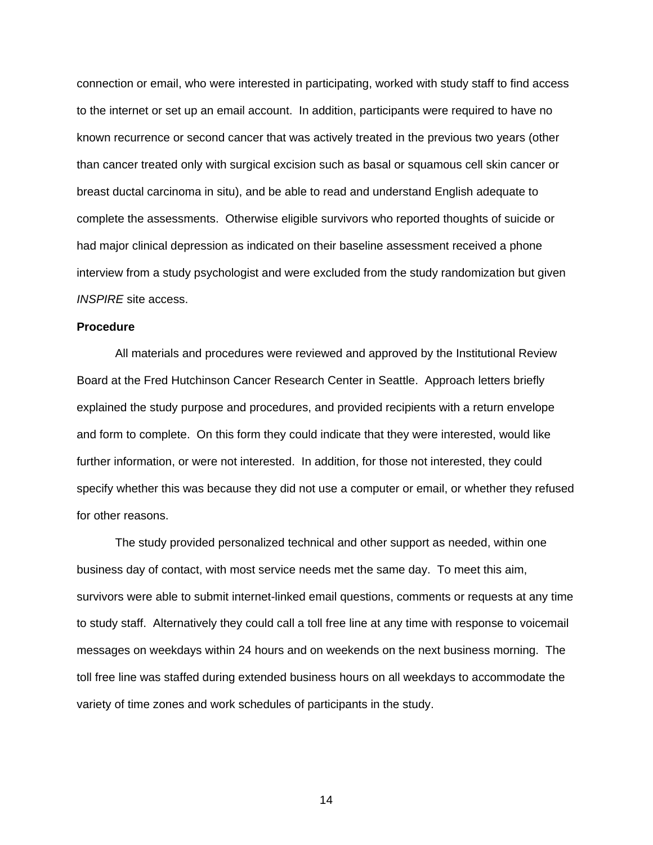connection or email, who were interested in participating, worked with study staff to find access to the internet or set up an email account. In addition, participants were required to have no known recurrence or second cancer that was actively treated in the previous two years (other than cancer treated only with surgical excision such as basal or squamous cell skin cancer or breast ductal carcinoma in situ), and be able to read and understand English adequate to complete the assessments. Otherwise eligible survivors who reported thoughts of suicide or had major clinical depression as indicated on their baseline assessment received a phone interview from a study psychologist and were excluded from the study randomization but given *INSPIRE* site access.

# **Procedure**

All materials and procedures were reviewed and approved by the Institutional Review Board at the Fred Hutchinson Cancer Research Center in Seattle. Approach letters briefly explained the study purpose and procedures, and provided recipients with a return envelope and form to complete. On this form they could indicate that they were interested, would like further information, or were not interested. In addition, for those not interested, they could specify whether this was because they did not use a computer or email, or whether they refused for other reasons.

The study provided personalized technical and other support as needed, within one business day of contact, with most service needs met the same day. To meet this aim, survivors were able to submit internet-linked email questions, comments or requests at any time to study staff. Alternatively they could call a toll free line at any time with response to voicemail messages on weekdays within 24 hours and on weekends on the next business morning. The toll free line was staffed during extended business hours on all weekdays to accommodate the variety of time zones and work schedules of participants in the study.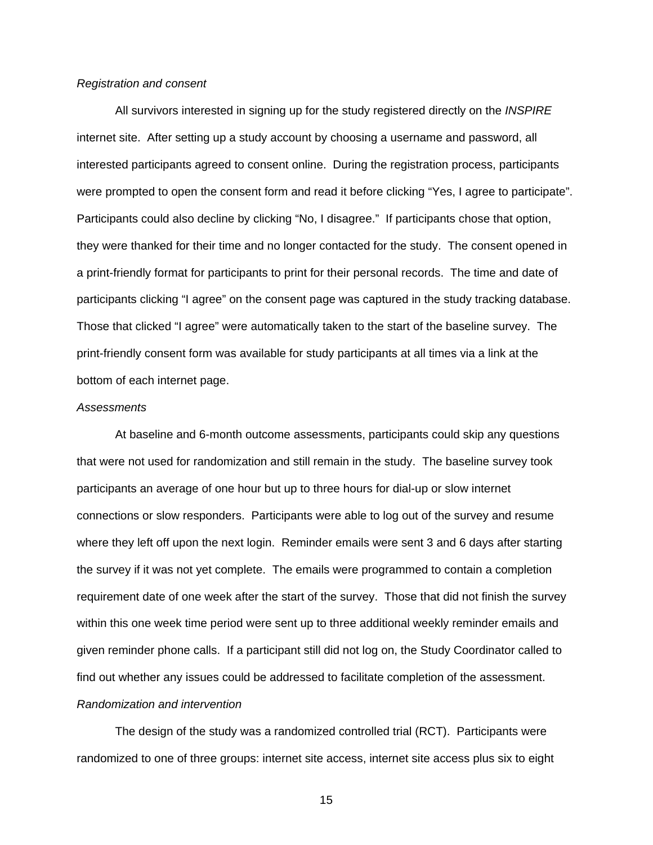#### *Registration and consent*

All survivors interested in signing up for the study registered directly on the *INSPIRE* internet site. After setting up a study account by choosing a username and password, all interested participants agreed to consent online. During the registration process, participants were prompted to open the consent form and read it before clicking "Yes, I agree to participate". Participants could also decline by clicking "No, I disagree." If participants chose that option, they were thanked for their time and no longer contacted for the study. The consent opened in a print-friendly format for participants to print for their personal records. The time and date of participants clicking "I agree" on the consent page was captured in the study tracking database. Those that clicked "I agree" were automatically taken to the start of the baseline survey. The print-friendly consent form was available for study participants at all times via a link at the bottom of each internet page.

#### *Assessments*

At baseline and 6-month outcome assessments, participants could skip any questions that were not used for randomization and still remain in the study. The baseline survey took participants an average of one hour but up to three hours for dial-up or slow internet connections or slow responders. Participants were able to log out of the survey and resume where they left off upon the next login. Reminder emails were sent 3 and 6 days after starting the survey if it was not yet complete. The emails were programmed to contain a completion requirement date of one week after the start of the survey. Those that did not finish the survey within this one week time period were sent up to three additional weekly reminder emails and given reminder phone calls. If a participant still did not log on, the Study Coordinator called to find out whether any issues could be addressed to facilitate completion of the assessment. *Randomization and intervention* 

The design of the study was a randomized controlled trial (RCT). Participants were randomized to one of three groups: internet site access, internet site access plus six to eight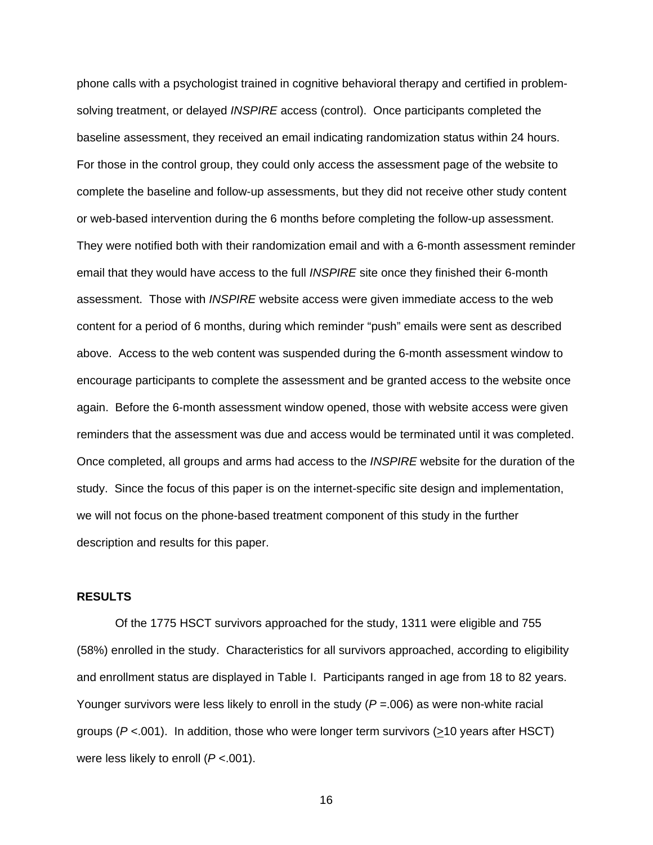phone calls with a psychologist trained in cognitive behavioral therapy and certified in problemsolving treatment, or delayed *INSPIRE* access (control). Once participants completed the baseline assessment, they received an email indicating randomization status within 24 hours. For those in the control group, they could only access the assessment page of the website to complete the baseline and follow-up assessments, but they did not receive other study content or web-based intervention during the 6 months before completing the follow-up assessment. They were notified both with their randomization email and with a 6-month assessment reminder email that they would have access to the full *INSPIRE* site once they finished their 6-month assessment. Those with *INSPIRE* website access were given immediate access to the web content for a period of 6 months, during which reminder "push" emails were sent as described above. Access to the web content was suspended during the 6-month assessment window to encourage participants to complete the assessment and be granted access to the website once again. Before the 6-month assessment window opened, those with website access were given reminders that the assessment was due and access would be terminated until it was completed. Once completed, all groups and arms had access to the *INSPIRE* website for the duration of the study. Since the focus of this paper is on the internet-specific site design and implementation, we will not focus on the phone-based treatment component of this study in the further description and results for this paper.

# **RESULTS**

 Of the 1775 HSCT survivors approached for the study, 1311 were eligible and 755 (58%) enrolled in the study. Characteristics for all survivors approached, according to eligibility and enrollment status are displayed in Table I. Participants ranged in age from 18 to 82 years. Younger survivors were less likely to enroll in the study ( $P = 006$ ) as were non-white racial groups ( $P < .001$ ). In addition, those who were longer term survivors ( $\geq 10$  years after HSCT) were less likely to enroll (*P* <.001).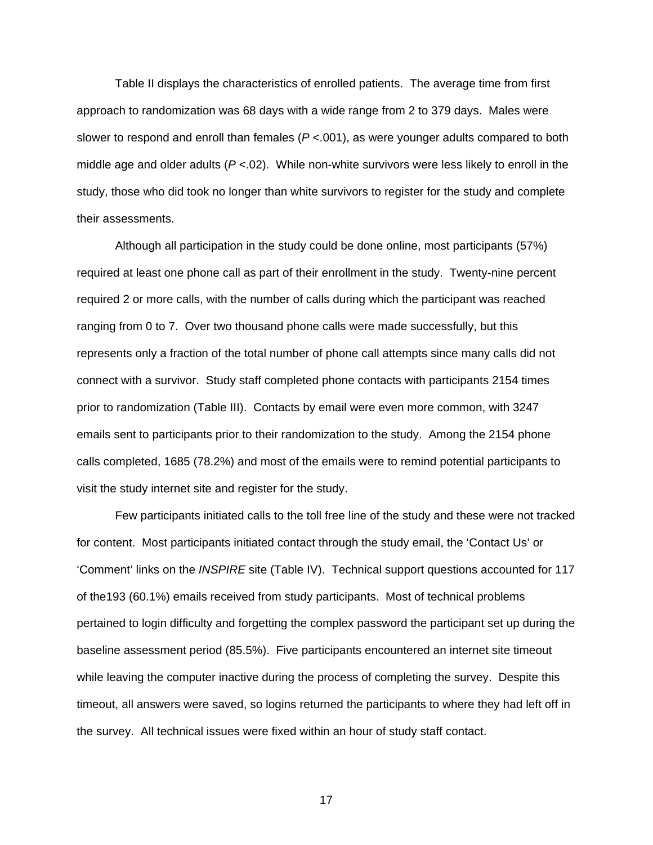Table II displays the characteristics of enrolled patients. The average time from first approach to randomization was 68 days with a wide range from 2 to 379 days. Males were slower to respond and enroll than females (*P* <.001), as were younger adults compared to both middle age and older adults (*P* <.02). While non-white survivors were less likely to enroll in the study, those who did took no longer than white survivors to register for the study and complete their assessments.

 Although all participation in the study could be done online, most participants (57%) required at least one phone call as part of their enrollment in the study. Twenty-nine percent required 2 or more calls, with the number of calls during which the participant was reached ranging from 0 to 7. Over two thousand phone calls were made successfully, but this represents only a fraction of the total number of phone call attempts since many calls did not connect with a survivor. Study staff completed phone contacts with participants 2154 times prior to randomization (Table III). Contacts by email were even more common, with 3247 emails sent to participants prior to their randomization to the study. Among the 2154 phone calls completed, 1685 (78.2%) and most of the emails were to remind potential participants to visit the study internet site and register for the study.

 Few participants initiated calls to the toll free line of the study and these were not tracked for content. Most participants initiated contact through the study email, the 'Contact Us' or 'Comment' links on the *INSPIRE* site (Table IV). Technical support questions accounted for 117 of the193 (60.1%) emails received from study participants. Most of technical problems pertained to login difficulty and forgetting the complex password the participant set up during the baseline assessment period (85.5%). Five participants encountered an internet site timeout while leaving the computer inactive during the process of completing the survey. Despite this timeout, all answers were saved, so logins returned the participants to where they had left off in the survey. All technical issues were fixed within an hour of study staff contact.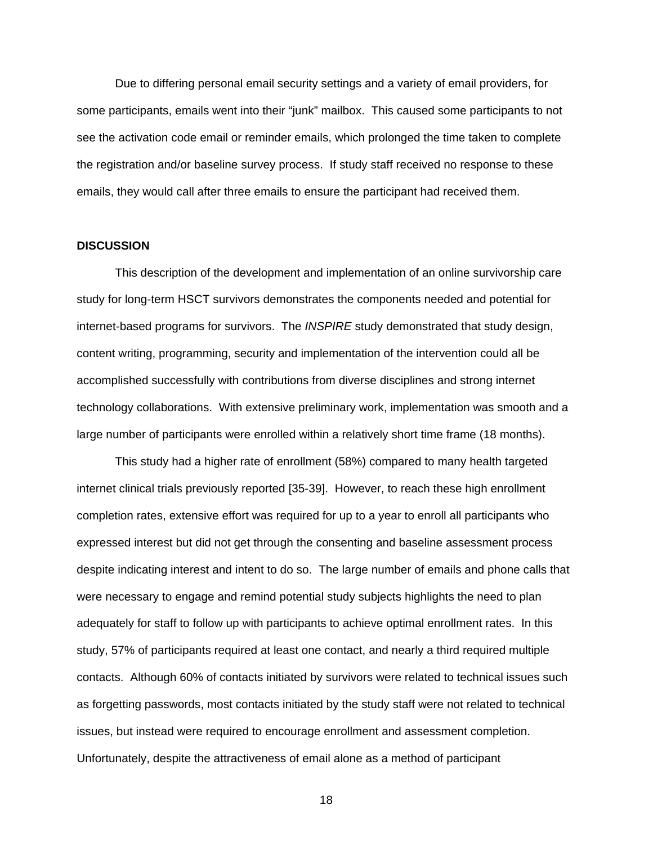Due to differing personal email security settings and a variety of email providers, for some participants, emails went into their "junk" mailbox. This caused some participants to not see the activation code email or reminder emails, which prolonged the time taken to complete the registration and/or baseline survey process. If study staff received no response to these emails, they would call after three emails to ensure the participant had received them.

# **DISCUSSION**

This description of the development and implementation of an online survivorship care study for long-term HSCT survivors demonstrates the components needed and potential for internet-based programs for survivors. The *INSPIRE* study demonstrated that study design, content writing, programming, security and implementation of the intervention could all be accomplished successfully with contributions from diverse disciplines and strong internet technology collaborations. With extensive preliminary work, implementation was smooth and a large number of participants were enrolled within a relatively short time frame (18 months).

This study had a higher rate of enrollment (58%) compared to many health targeted internet clinical trials previously reported [35-39]. However, to reach these high enrollment completion rates, extensive effort was required for up to a year to enroll all participants who expressed interest but did not get through the consenting and baseline assessment process despite indicating interest and intent to do so. The large number of emails and phone calls that were necessary to engage and remind potential study subjects highlights the need to plan adequately for staff to follow up with participants to achieve optimal enrollment rates. In this study, 57% of participants required at least one contact, and nearly a third required multiple contacts. Although 60% of contacts initiated by survivors were related to technical issues such as forgetting passwords, most contacts initiated by the study staff were not related to technical issues, but instead were required to encourage enrollment and assessment completion. Unfortunately, despite the attractiveness of email alone as a method of participant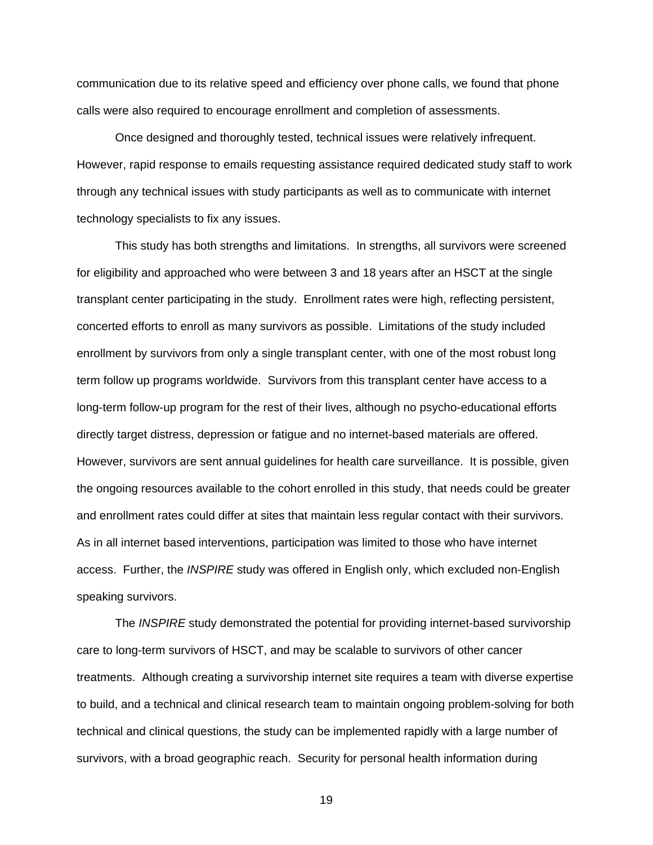communication due to its relative speed and efficiency over phone calls, we found that phone calls were also required to encourage enrollment and completion of assessments.

Once designed and thoroughly tested, technical issues were relatively infrequent. However, rapid response to emails requesting assistance required dedicated study staff to work through any technical issues with study participants as well as to communicate with internet technology specialists to fix any issues.

This study has both strengths and limitations. In strengths, all survivors were screened for eligibility and approached who were between 3 and 18 years after an HSCT at the single transplant center participating in the study. Enrollment rates were high, reflecting persistent, concerted efforts to enroll as many survivors as possible. Limitations of the study included enrollment by survivors from only a single transplant center, with one of the most robust long term follow up programs worldwide. Survivors from this transplant center have access to a long-term follow-up program for the rest of their lives, although no psycho-educational efforts directly target distress, depression or fatigue and no internet-based materials are offered. However, survivors are sent annual guidelines for health care surveillance. It is possible, given the ongoing resources available to the cohort enrolled in this study, that needs could be greater and enrollment rates could differ at sites that maintain less regular contact with their survivors. As in all internet based interventions, participation was limited to those who have internet access. Further, the *INSPIRE* study was offered in English only, which excluded non-English speaking survivors.

 The *INSPIRE* study demonstrated the potential for providing internet-based survivorship care to long-term survivors of HSCT, and may be scalable to survivors of other cancer treatments. Although creating a survivorship internet site requires a team with diverse expertise to build, and a technical and clinical research team to maintain ongoing problem-solving for both technical and clinical questions, the study can be implemented rapidly with a large number of survivors, with a broad geographic reach. Security for personal health information during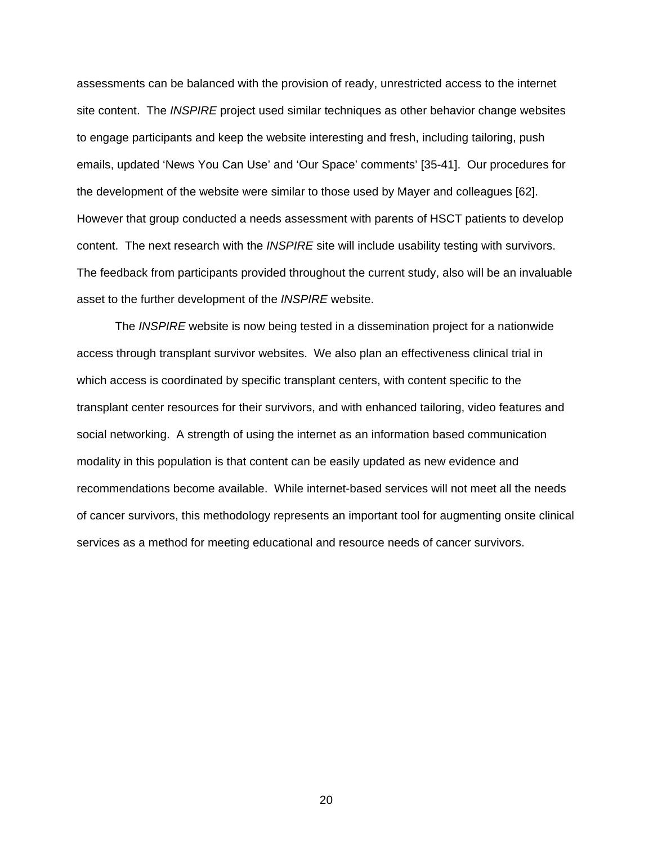assessments can be balanced with the provision of ready, unrestricted access to the internet site content. The *INSPIRE* project used similar techniques as other behavior change websites to engage participants and keep the website interesting and fresh, including tailoring, push emails, updated 'News You Can Use' and 'Our Space' comments' [35-41]. Our procedures for the development of the website were similar to those used by Mayer and colleagues [62]. However that group conducted a needs assessment with parents of HSCT patients to develop content. The next research with the *INSPIRE* site will include usability testing with survivors. The feedback from participants provided throughout the current study, also will be an invaluable asset to the further development of the *INSPIRE* website.

The *INSPIRE* website is now being tested in a dissemination project for a nationwide access through transplant survivor websites. We also plan an effectiveness clinical trial in which access is coordinated by specific transplant centers, with content specific to the transplant center resources for their survivors, and with enhanced tailoring, video features and social networking. A strength of using the internet as an information based communication modality in this population is that content can be easily updated as new evidence and recommendations become available. While internet-based services will not meet all the needs of cancer survivors, this methodology represents an important tool for augmenting onsite clinical services as a method for meeting educational and resource needs of cancer survivors.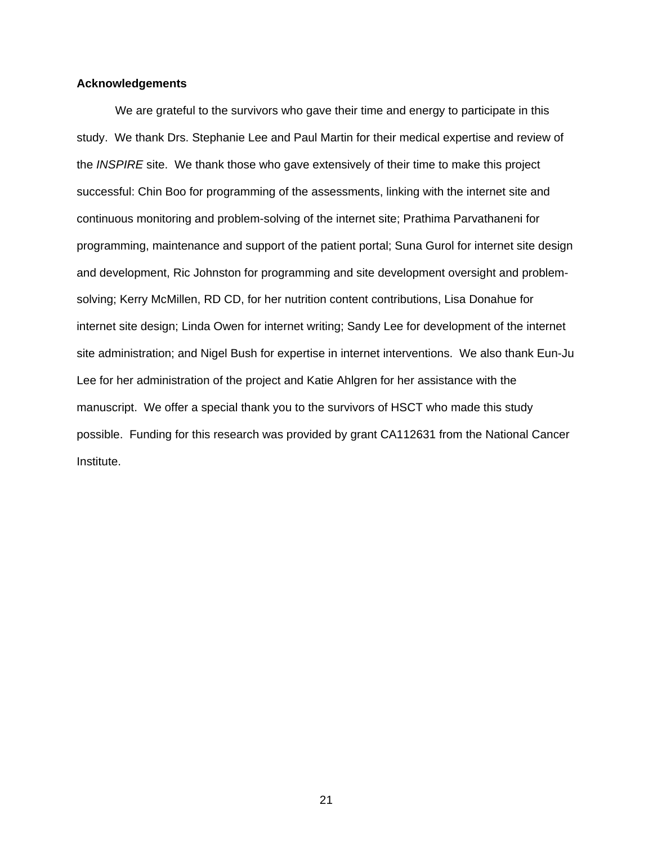# **Acknowledgements**

We are grateful to the survivors who gave their time and energy to participate in this study. We thank Drs. Stephanie Lee and Paul Martin for their medical expertise and review of the *INSPIRE* site. We thank those who gave extensively of their time to make this project successful: Chin Boo for programming of the assessments, linking with the internet site and continuous monitoring and problem-solving of the internet site; Prathima Parvathaneni for programming, maintenance and support of the patient portal; Suna Gurol for internet site design and development, Ric Johnston for programming and site development oversight and problemsolving; Kerry McMillen, RD CD, for her nutrition content contributions, Lisa Donahue for internet site design; Linda Owen for internet writing; Sandy Lee for development of the internet site administration; and Nigel Bush for expertise in internet interventions. We also thank Eun-Ju Lee for her administration of the project and Katie Ahlgren for her assistance with the manuscript. We offer a special thank you to the survivors of HSCT who made this study possible. Funding for this research was provided by grant CA112631 from the National Cancer Institute.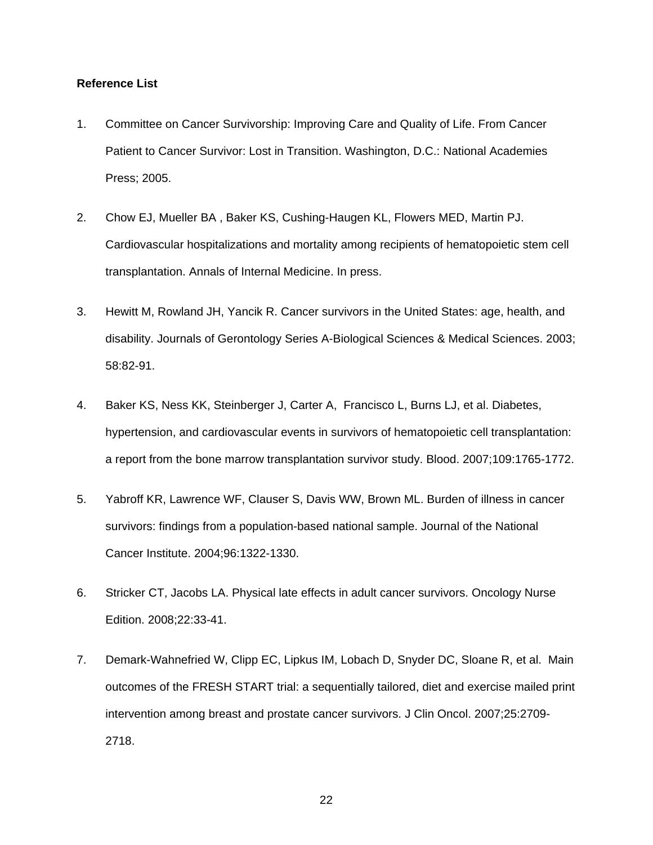# **Reference List**

- 1. Committee on Cancer Survivorship: Improving Care and Quality of Life. From Cancer Patient to Cancer Survivor: Lost in Transition. Washington, D.C.: National Academies Press; 2005.
- 2. Chow EJ, Mueller BA , Baker KS, Cushing-Haugen KL, Flowers MED, Martin PJ. Cardiovascular hospitalizations and mortality among recipients of hematopoietic stem cell transplantation. Annals of Internal Medicine. In press.
- 3. Hewitt M, Rowland JH, Yancik R. Cancer survivors in the United States: age, health, and disability. Journals of Gerontology Series A-Biological Sciences & Medical Sciences. 2003; 58:82-91.
- 4. Baker KS, Ness KK, Steinberger J, Carter A, Francisco L, Burns LJ, et al. Diabetes, hypertension, and cardiovascular events in survivors of hematopoietic cell transplantation: a report from the bone marrow transplantation survivor study. Blood. 2007;109:1765-1772.
- 5. Yabroff KR, Lawrence WF, Clauser S, Davis WW, Brown ML. Burden of illness in cancer survivors: findings from a population-based national sample. Journal of the National Cancer Institute. 2004;96:1322-1330.
- 6. Stricker CT, Jacobs LA. Physical late effects in adult cancer survivors. Oncology Nurse Edition. 2008;22:33-41.
- 7. Demark-Wahnefried W, Clipp EC, Lipkus IM, Lobach D, Snyder DC, Sloane R, et al. Main outcomes of the FRESH START trial: a sequentially tailored, diet and exercise mailed print intervention among breast and prostate cancer survivors. J Clin Oncol. 2007;25:2709- 2718.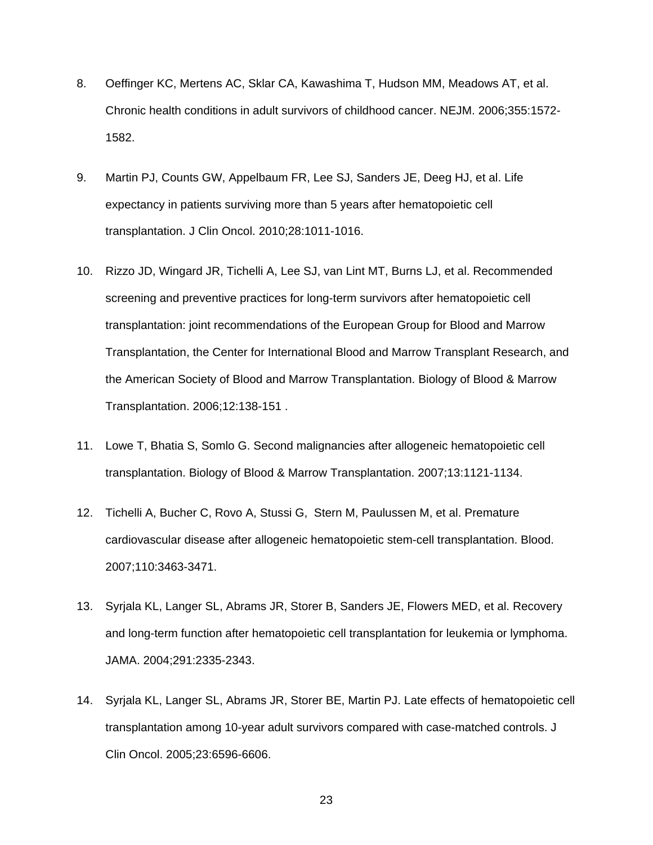- 8. Oeffinger KC, Mertens AC, Sklar CA, Kawashima T, Hudson MM, Meadows AT, et al. Chronic health conditions in adult survivors of childhood cancer. NEJM. 2006;355:1572- 1582.
- 9. Martin PJ, Counts GW, Appelbaum FR, Lee SJ, Sanders JE, Deeg HJ, et al. Life expectancy in patients surviving more than 5 years after hematopoietic cell transplantation. J Clin Oncol. 2010;28:1011-1016.
- 10. Rizzo JD, Wingard JR, Tichelli A, Lee SJ, van Lint MT, Burns LJ, et al. Recommended screening and preventive practices for long-term survivors after hematopoietic cell transplantation: joint recommendations of the European Group for Blood and Marrow Transplantation, the Center for International Blood and Marrow Transplant Research, and the American Society of Blood and Marrow Transplantation. Biology of Blood & Marrow Transplantation. 2006;12:138-151 .
- 11. Lowe T, Bhatia S, Somlo G. Second malignancies after allogeneic hematopoietic cell transplantation. Biology of Blood & Marrow Transplantation. 2007;13:1121-1134.
- 12. Tichelli A, Bucher C, Rovo A, Stussi G, Stern M, Paulussen M, et al. Premature cardiovascular disease after allogeneic hematopoietic stem-cell transplantation. Blood. 2007;110:3463-3471.
- 13. Syrjala KL, Langer SL, Abrams JR, Storer B, Sanders JE, Flowers MED, et al. Recovery and long-term function after hematopoietic cell transplantation for leukemia or lymphoma. JAMA. 2004;291:2335-2343.
- 14. Syrjala KL, Langer SL, Abrams JR, Storer BE, Martin PJ. Late effects of hematopoietic cell transplantation among 10-year adult survivors compared with case-matched controls. J Clin Oncol. 2005;23:6596-6606.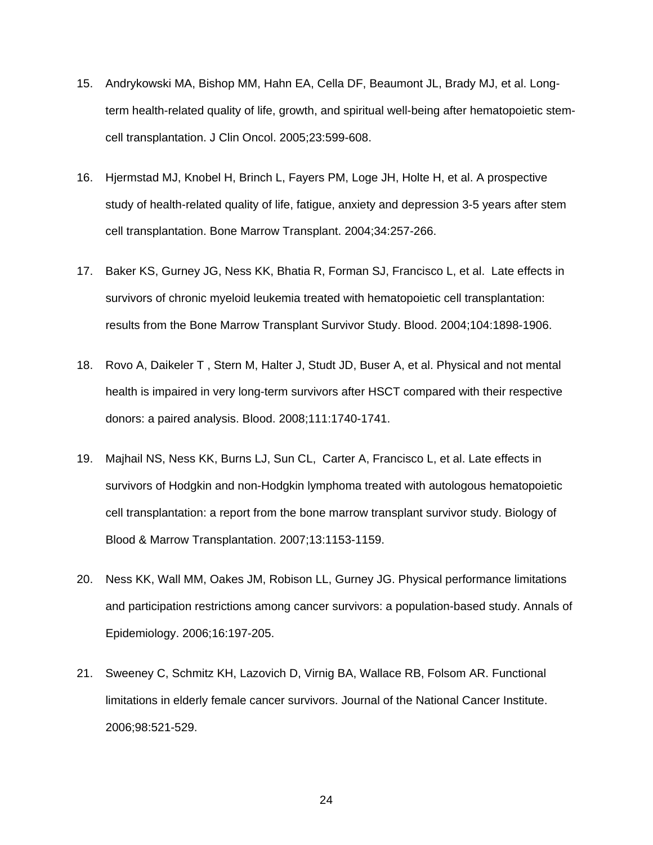- 15. Andrykowski MA, Bishop MM, Hahn EA, Cella DF, Beaumont JL, Brady MJ, et al. Longterm health-related quality of life, growth, and spiritual well-being after hematopoietic stemcell transplantation. J Clin Oncol. 2005;23:599-608.
- 16. Hjermstad MJ, Knobel H, Brinch L, Fayers PM, Loge JH, Holte H, et al. A prospective study of health-related quality of life, fatigue, anxiety and depression 3-5 years after stem cell transplantation. Bone Marrow Transplant. 2004;34:257-266.
- 17. Baker KS, Gurney JG, Ness KK, Bhatia R, Forman SJ, Francisco L, et al. Late effects in survivors of chronic myeloid leukemia treated with hematopoietic cell transplantation: results from the Bone Marrow Transplant Survivor Study. Blood. 2004;104:1898-1906.
- 18. Rovo A, Daikeler T , Stern M, Halter J, Studt JD, Buser A, et al. Physical and not mental health is impaired in very long-term survivors after HSCT compared with their respective donors: a paired analysis. Blood. 2008;111:1740-1741.
- 19. Majhail NS, Ness KK, Burns LJ, Sun CL, Carter A, Francisco L, et al. Late effects in survivors of Hodgkin and non-Hodgkin lymphoma treated with autologous hematopoietic cell transplantation: a report from the bone marrow transplant survivor study. Biology of Blood & Marrow Transplantation. 2007;13:1153-1159.
- 20. Ness KK, Wall MM, Oakes JM, Robison LL, Gurney JG. Physical performance limitations and participation restrictions among cancer survivors: a population-based study. Annals of Epidemiology. 2006;16:197-205.
- 21. Sweeney C, Schmitz KH, Lazovich D, Virnig BA, Wallace RB, Folsom AR. Functional limitations in elderly female cancer survivors. Journal of the National Cancer Institute. 2006;98:521-529.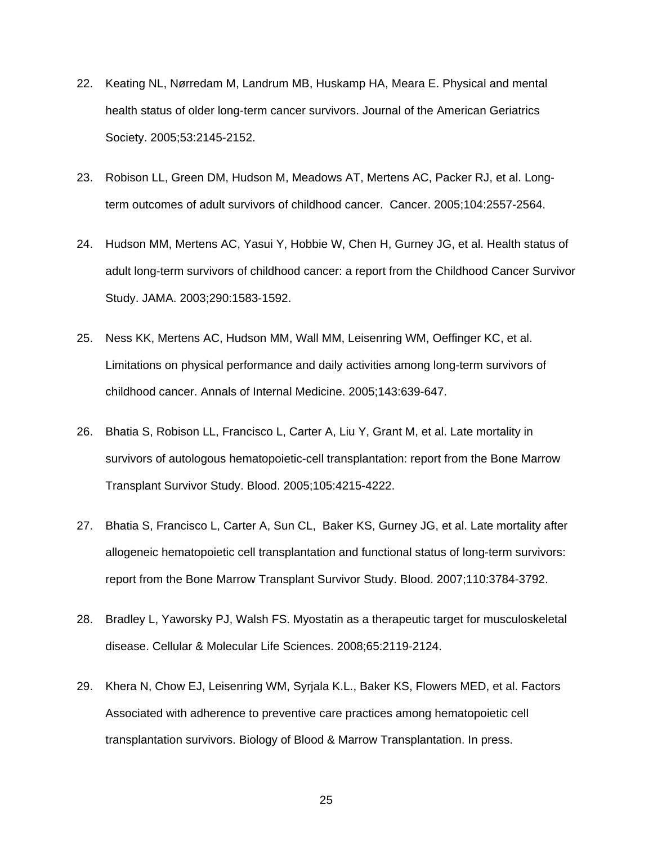- 22. Keating NL, Nørredam M, Landrum MB, Huskamp HA, Meara E. Physical and mental health status of older long-term cancer survivors. Journal of the American Geriatrics Society. 2005;53:2145-2152.
- 23. Robison LL, Green DM, Hudson M, Meadows AT, Mertens AC, Packer RJ, et al. Longterm outcomes of adult survivors of childhood cancer. Cancer. 2005;104:2557-2564.
- 24. Hudson MM, Mertens AC, Yasui Y, Hobbie W, Chen H, Gurney JG, et al. Health status of adult long-term survivors of childhood cancer: a report from the Childhood Cancer Survivor Study. JAMA. 2003;290:1583-1592.
- 25. Ness KK, Mertens AC, Hudson MM, Wall MM, Leisenring WM, Oeffinger KC, et al. Limitations on physical performance and daily activities among long-term survivors of childhood cancer. Annals of Internal Medicine. 2005;143:639-647.
- 26. Bhatia S, Robison LL, Francisco L, Carter A, Liu Y, Grant M, et al. Late mortality in survivors of autologous hematopoietic-cell transplantation: report from the Bone Marrow Transplant Survivor Study. Blood. 2005;105:4215-4222.
- 27. Bhatia S, Francisco L, Carter A, Sun CL, Baker KS, Gurney JG, et al. Late mortality after allogeneic hematopoietic cell transplantation and functional status of long-term survivors: report from the Bone Marrow Transplant Survivor Study. Blood. 2007;110:3784-3792.
- 28. Bradley L, Yaworsky PJ, Walsh FS. Myostatin as a therapeutic target for musculoskeletal disease. Cellular & Molecular Life Sciences. 2008;65:2119-2124.
- 29. Khera N, Chow EJ, Leisenring WM, Syrjala K.L., Baker KS, Flowers MED, et al. Factors Associated with adherence to preventive care practices among hematopoietic cell transplantation survivors. Biology of Blood & Marrow Transplantation. In press.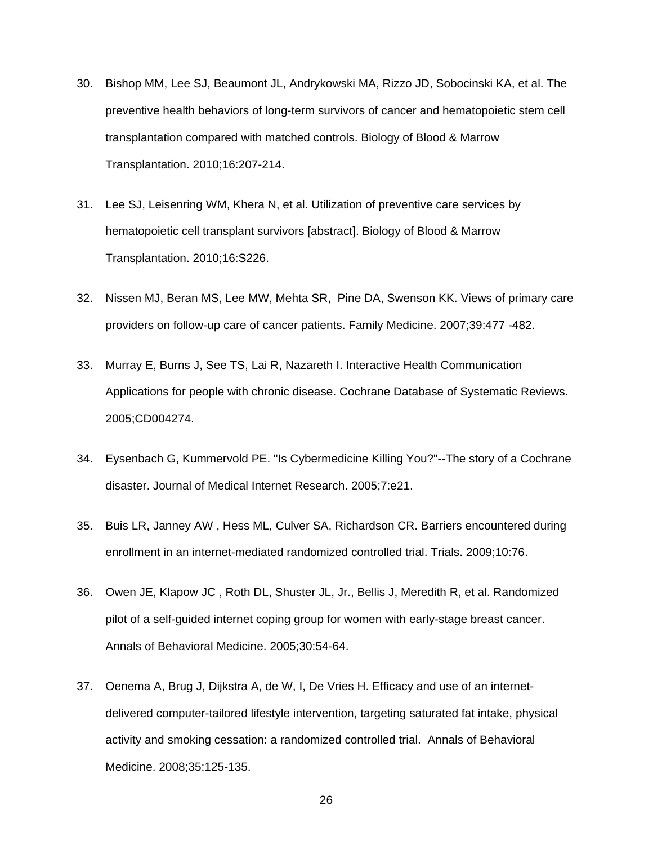- 30. Bishop MM, Lee SJ, Beaumont JL, Andrykowski MA, Rizzo JD, Sobocinski KA, et al. The preventive health behaviors of long-term survivors of cancer and hematopoietic stem cell transplantation compared with matched controls. Biology of Blood & Marrow Transplantation. 2010;16:207-214.
- 31. Lee SJ, Leisenring WM, Khera N, et al. Utilization of preventive care services by hematopoietic cell transplant survivors [abstract]. Biology of Blood & Marrow Transplantation. 2010;16:S226.
- 32. Nissen MJ, Beran MS, Lee MW, Mehta SR, Pine DA, Swenson KK. Views of primary care providers on follow-up care of cancer patients. Family Medicine. 2007;39:477 -482.
- 33. Murray E, Burns J, See TS, Lai R, Nazareth I. Interactive Health Communication Applications for people with chronic disease. Cochrane Database of Systematic Reviews. 2005;CD004274.
- 34. Eysenbach G, Kummervold PE. "Is Cybermedicine Killing You?"--The story of a Cochrane disaster. Journal of Medical Internet Research. 2005;7:e21.
- 35. Buis LR, Janney AW , Hess ML, Culver SA, Richardson CR. Barriers encountered during enrollment in an internet-mediated randomized controlled trial. Trials. 2009;10:76.
- 36. Owen JE, Klapow JC , Roth DL, Shuster JL, Jr., Bellis J, Meredith R, et al. Randomized pilot of a self-guided internet coping group for women with early-stage breast cancer. Annals of Behavioral Medicine. 2005;30:54-64.
- 37. Oenema A, Brug J, Dijkstra A, de W, I, De Vries H. Efficacy and use of an internetdelivered computer-tailored lifestyle intervention, targeting saturated fat intake, physical activity and smoking cessation: a randomized controlled trial. Annals of Behavioral Medicine. 2008;35:125-135.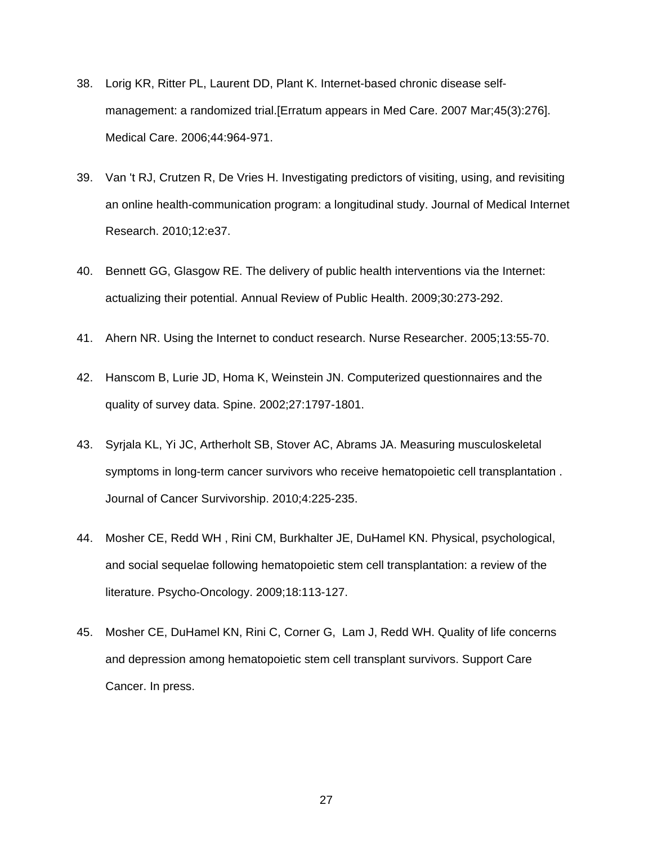- 38. Lorig KR, Ritter PL, Laurent DD, Plant K. Internet-based chronic disease selfmanagement: a randomized trial.[Erratum appears in Med Care. 2007 Mar;45(3):276]. Medical Care. 2006;44:964-971.
- 39. Van 't RJ, Crutzen R, De Vries H. Investigating predictors of visiting, using, and revisiting an online health-communication program: a longitudinal study. Journal of Medical Internet Research. 2010;12:e37.
- 40. Bennett GG, Glasgow RE. The delivery of public health interventions via the Internet: actualizing their potential. Annual Review of Public Health. 2009;30:273-292.
- 41. Ahern NR. Using the Internet to conduct research. Nurse Researcher. 2005;13:55-70.
- 42. Hanscom B, Lurie JD, Homa K, Weinstein JN. Computerized questionnaires and the quality of survey data. Spine. 2002;27:1797-1801.
- 43. Syrjala KL, Yi JC, Artherholt SB, Stover AC, Abrams JA. Measuring musculoskeletal symptoms in long-term cancer survivors who receive hematopoietic cell transplantation . Journal of Cancer Survivorship. 2010;4:225-235.
- 44. Mosher CE, Redd WH , Rini CM, Burkhalter JE, DuHamel KN. Physical, psychological, and social sequelae following hematopoietic stem cell transplantation: a review of the literature. Psycho-Oncology. 2009;18:113-127.
- 45. Mosher CE, DuHamel KN, Rini C, Corner G, Lam J, Redd WH. Quality of life concerns and depression among hematopoietic stem cell transplant survivors. Support Care Cancer. In press.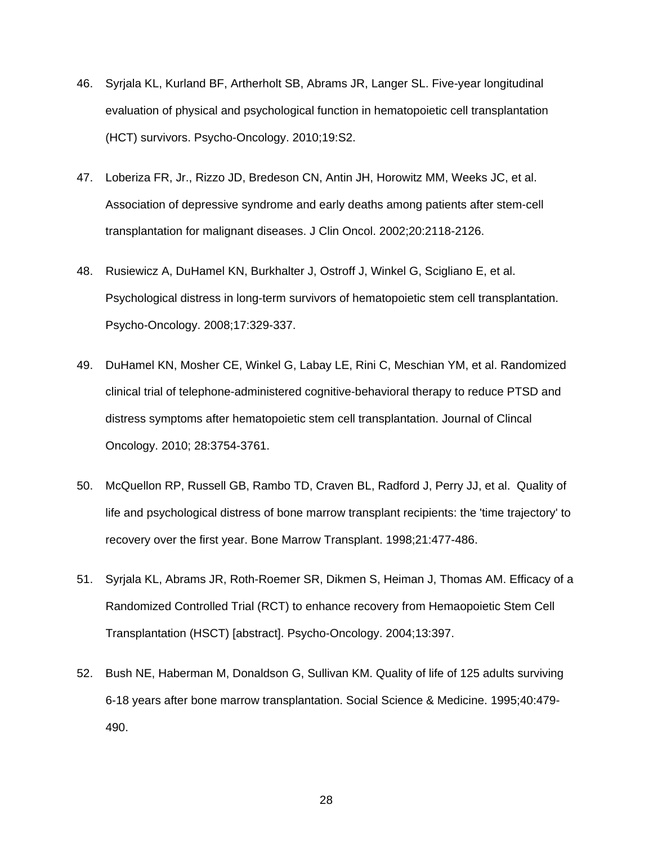- 46. Syrjala KL, Kurland BF, Artherholt SB, Abrams JR, Langer SL. Five-year longitudinal evaluation of physical and psychological function in hematopoietic cell transplantation (HCT) survivors. Psycho-Oncology. 2010;19:S2.
- 47. Loberiza FR, Jr., Rizzo JD, Bredeson CN, Antin JH, Horowitz MM, Weeks JC, et al. Association of depressive syndrome and early deaths among patients after stem-cell transplantation for malignant diseases. J Clin Oncol. 2002;20:2118-2126.
- 48. Rusiewicz A, DuHamel KN, Burkhalter J, Ostroff J, Winkel G, Scigliano E, et al. Psychological distress in long-term survivors of hematopoietic stem cell transplantation. Psycho-Oncology. 2008;17:329-337.
- 49. DuHamel KN, Mosher CE, Winkel G, Labay LE, Rini C, Meschian YM, et al. Randomized clinical trial of telephone-administered cognitive-behavioral therapy to reduce PTSD and distress symptoms after hematopoietic stem cell transplantation. Journal of Clincal Oncology. 2010; 28:3754-3761.
- 50. McQuellon RP, Russell GB, Rambo TD, Craven BL, Radford J, Perry JJ, et al. Quality of life and psychological distress of bone marrow transplant recipients: the 'time trajectory' to recovery over the first year. Bone Marrow Transplant. 1998;21:477-486.
- 51. Syrjala KL, Abrams JR, Roth-Roemer SR, Dikmen S, Heiman J, Thomas AM. Efficacy of a Randomized Controlled Trial (RCT) to enhance recovery from Hemaopoietic Stem Cell Transplantation (HSCT) [abstract]. Psycho-Oncology. 2004;13:397.
- 52. Bush NE, Haberman M, Donaldson G, Sullivan KM. Quality of life of 125 adults surviving 6-18 years after bone marrow transplantation. Social Science & Medicine. 1995;40:479- 490.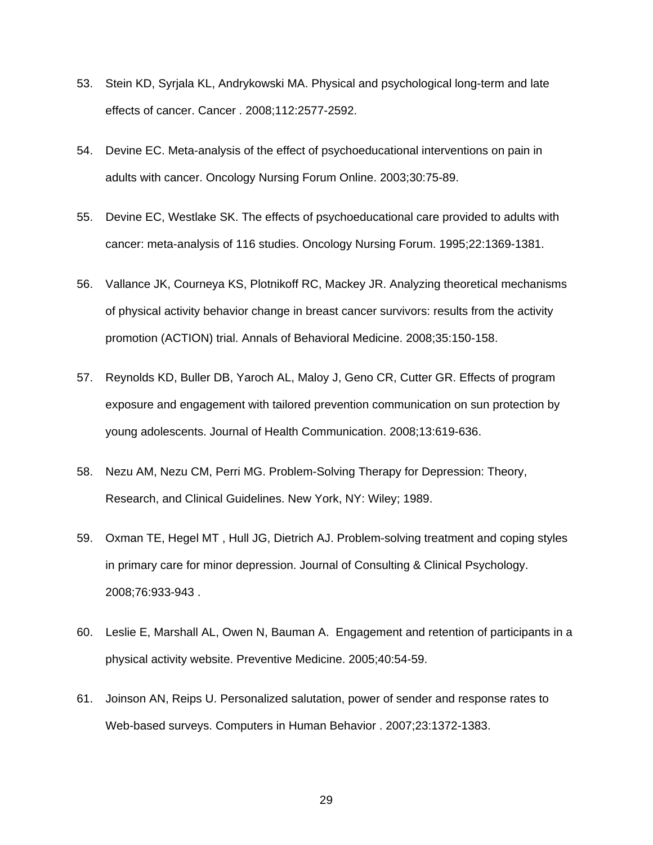- 53. Stein KD, Syrjala KL, Andrykowski MA. Physical and psychological long-term and late effects of cancer. Cancer . 2008;112:2577-2592.
- 54. Devine EC. Meta-analysis of the effect of psychoeducational interventions on pain in adults with cancer. Oncology Nursing Forum Online. 2003;30:75-89.
- 55. Devine EC, Westlake SK. The effects of psychoeducational care provided to adults with cancer: meta-analysis of 116 studies. Oncology Nursing Forum. 1995;22:1369-1381.
- 56. Vallance JK, Courneya KS, Plotnikoff RC, Mackey JR. Analyzing theoretical mechanisms of physical activity behavior change in breast cancer survivors: results from the activity promotion (ACTION) trial. Annals of Behavioral Medicine. 2008;35:150-158.
- 57. Reynolds KD, Buller DB, Yaroch AL, Maloy J, Geno CR, Cutter GR. Effects of program exposure and engagement with tailored prevention communication on sun protection by young adolescents. Journal of Health Communication. 2008;13:619-636.
- 58. Nezu AM, Nezu CM, Perri MG. Problem-Solving Therapy for Depression: Theory, Research, and Clinical Guidelines. New York, NY: Wiley; 1989.
- 59. Oxman TE, Hegel MT , Hull JG, Dietrich AJ. Problem-solving treatment and coping styles in primary care for minor depression. Journal of Consulting & Clinical Psychology. 2008;76:933-943 .
- 60. Leslie E, Marshall AL, Owen N, Bauman A. Engagement and retention of participants in a physical activity website. Preventive Medicine. 2005;40:54-59.
- 61. Joinson AN, Reips U. Personalized salutation, power of sender and response rates to Web-based surveys. Computers in Human Behavior . 2007;23:1372-1383.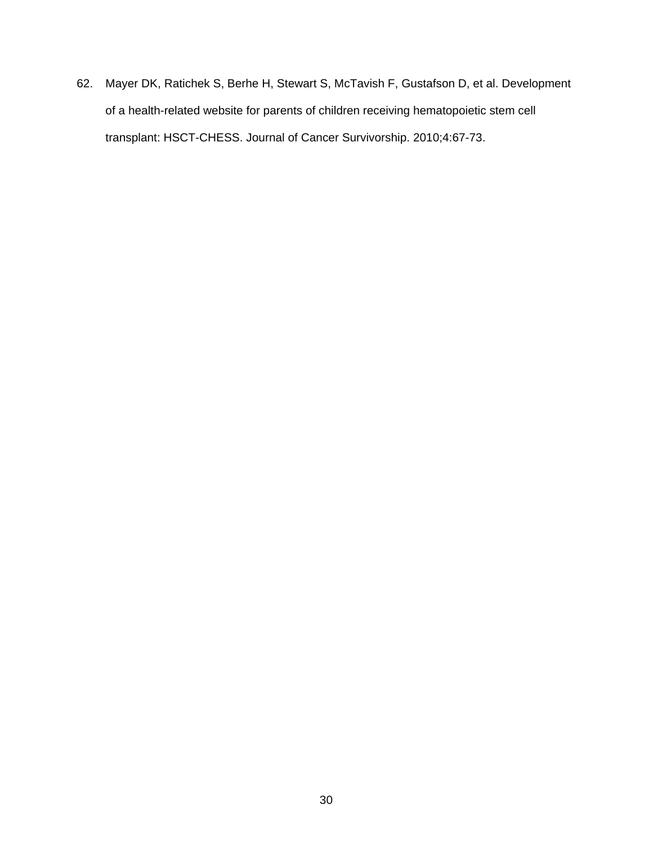62. Mayer DK, Ratichek S, Berhe H, Stewart S, McTavish F, Gustafson D, et al. Development of a health-related website for parents of children receiving hematopoietic stem cell transplant: HSCT-CHESS. Journal of Cancer Survivorship. 2010;4:67-73.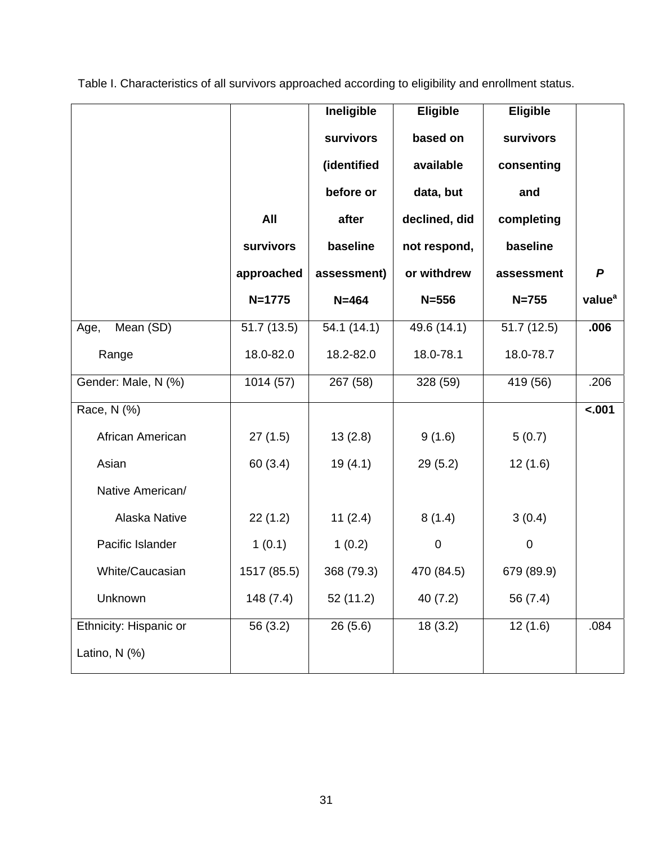| Table I. Characteristics of all survivors approached according to eligibility and enrollment status. |  |
|------------------------------------------------------------------------------------------------------|--|
|------------------------------------------------------------------------------------------------------|--|

|                                              |             | Ineligible       | <b>Eligible</b> | <b>Eligible</b>  |                    |
|----------------------------------------------|-------------|------------------|-----------------|------------------|--------------------|
|                                              |             | <b>survivors</b> | based on        | <b>survivors</b> |                    |
|                                              |             | (identified      | available       | consenting       |                    |
|                                              |             | before or        | data, but       | and              |                    |
|                                              | All         | after            | declined, did   | completing       |                    |
|                                              | survivors   | baseline         | not respond,    | baseline         |                    |
|                                              | approached  | assessment)      | or withdrew     | assessment       | P                  |
|                                              | $N = 1775$  | $N = 464$        | $N = 556$       | $N = 755$        | value <sup>a</sup> |
| Mean (SD)<br>Age,                            | 51.7(13.5)  | 54.1(14.1)       | 49.6 (14.1)     | 51.7(12.5)       | .006               |
| Range                                        | 18.0-82.0   | 18.2-82.0        | 18.0-78.1       | 18.0-78.7        |                    |
| Gender: Male, N (%)                          | 1014 (57)   | 267 (58)         | 328 (59)        | 419 (56)         | .206               |
| Race, N (%)                                  |             |                  |                 |                  | $-.001$            |
| African American                             | 27(1.5)     | 13(2.8)          | 9(1.6)          | 5(0.7)           |                    |
| Asian                                        | 60(3.4)     | 19(4.1)          | 29(5.2)         | 12(1.6)          |                    |
| Native American/                             |             |                  |                 |                  |                    |
| Alaska Native                                | 22(1.2)     | 11(2.4)          | 8(1.4)          | 3(0.4)           |                    |
| Pacific Islander                             | 1(0.1)      | 1(0.2)           | 0               | 0                |                    |
| White/Caucasian                              | 1517 (85.5) | 368 (79.3)       | 470 (84.5)      | 679 (89.9)       |                    |
| Unknown                                      | 148(7.4)    | 52 (11.2)        | 40(7.2)         | 56 (7.4)         |                    |
| Ethnicity: Hispanic or<br>Latino, $N$ $(\%)$ | 56 (3.2)    | 26(5.6)          | 18(3.2)         | 12(1.6)          | .084               |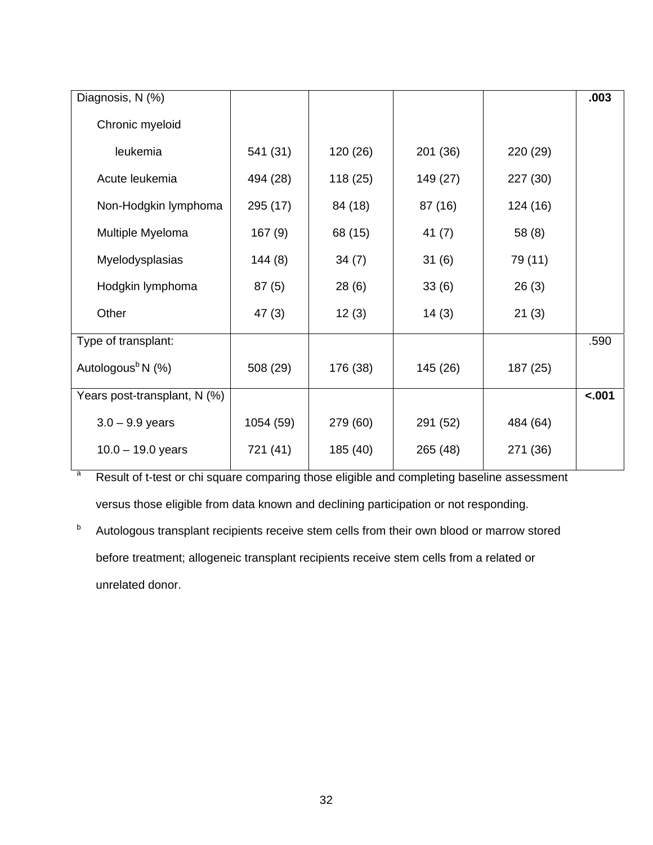| Diagnosis, N (%)              |           |          |          |          | .003    |
|-------------------------------|-----------|----------|----------|----------|---------|
|                               |           |          |          |          |         |
| Chronic myeloid               |           |          |          |          |         |
| leukemia                      | 541 (31)  | 120 (26) | 201 (36) | 220(29)  |         |
| Acute leukemia                | 494 (28)  | 118 (25) | 149 (27) | 227 (30) |         |
| Non-Hodgkin lymphoma          | 295 (17)  | 84 (18)  | 87 (16)  | 124(16)  |         |
| Multiple Myeloma              | 167(9)    | 68 (15)  | 41 $(7)$ | 58 (8)   |         |
| Myelodysplasias               | 144(8)    | 34(7)    | 31(6)    | 79 (11)  |         |
| Hodgkin lymphoma              | 87(5)     | 28(6)    | 33(6)    | 26(3)    |         |
| Other                         | 47(3)     | 12(3)    | 14(3)    | 21(3)    |         |
| Type of transplant:           |           |          |          |          | .590    |
| Autologous <sup>b</sup> N (%) | 508 (29)  | 176 (38) | 145 (26) | 187 (25) |         |
| Years post-transplant, N (%)  |           |          |          |          | $-.001$ |
| $3.0 - 9.9$ years             | 1054 (59) | 279 (60) | 291 (52) | 484 (64) |         |
| $10.0 - 19.0$ years           | 721 (41)  | 185 (40) | 265 (48) | 271 (36) |         |
|                               |           |          |          |          |         |

a Result of t-test or chi square comparing those eligible and completing baseline assessment versus those eligible from data known and declining participation or not responding.

b Autologous transplant recipients receive stem cells from their own blood or marrow stored before treatment; allogeneic transplant recipients receive stem cells from a related or unrelated donor.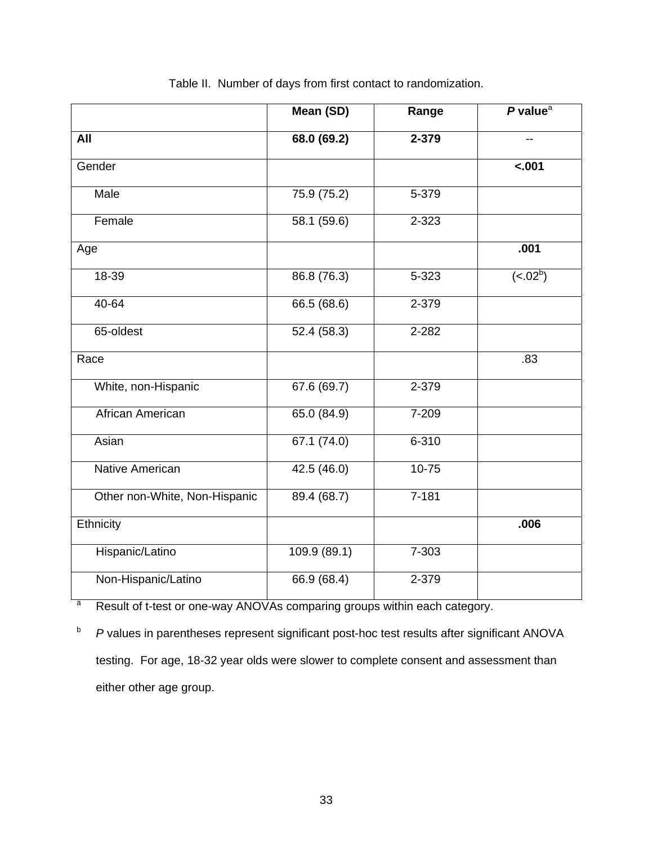|                               | Mean (SD)   | Range     | $P$ value <sup>a</sup> |
|-------------------------------|-------------|-----------|------------------------|
| All                           | 68.0 (69.2) | 2-379     | --                     |
| Gender                        |             |           | $-.001$                |
| Male                          | 75.9(75.2)  | $5 - 379$ |                        |
| Female                        | 58.1(59.6)  | 2-323     |                        |
| Age                           |             |           | .001                   |
| 18-39                         | 86.8 (76.3) | 5-323     | (<.02 <sup>b</sup> )   |
| 40-64                         | 66.5(68.6)  | 2-379     |                        |
| 65-oldest                     | 52.4(58.3)  | $2 - 282$ |                        |
| Race                          |             |           | .83                    |
| White, non-Hispanic           | 67.6(69.7)  | 2-379     |                        |
| African American              | 65.0(84.9)  | 7-209     |                        |
| Asian                         | 67.1(74.0)  | $6 - 310$ |                        |
| Native American               | 42.5 (46.0) | $10 - 75$ |                        |
| Other non-White, Non-Hispanic | 89.4(68.7)  | $7 - 181$ |                        |
| Ethnicity                     |             |           | .006                   |
| Hispanic/Latino               | 109.9(89.1) | $7 - 303$ |                        |
| Non-Hispanic/Latino           | 66.9(68.4)  | 2-379     |                        |

Table II. Number of days from first contact to randomization.

**A Result of t-test or one-way ANOVAs comparing groups within each category.** 

b *P* values in parentheses represent significant post-hoc test results after significant ANOVA testing. For age, 18-32 year olds were slower to complete consent and assessment than either other age group.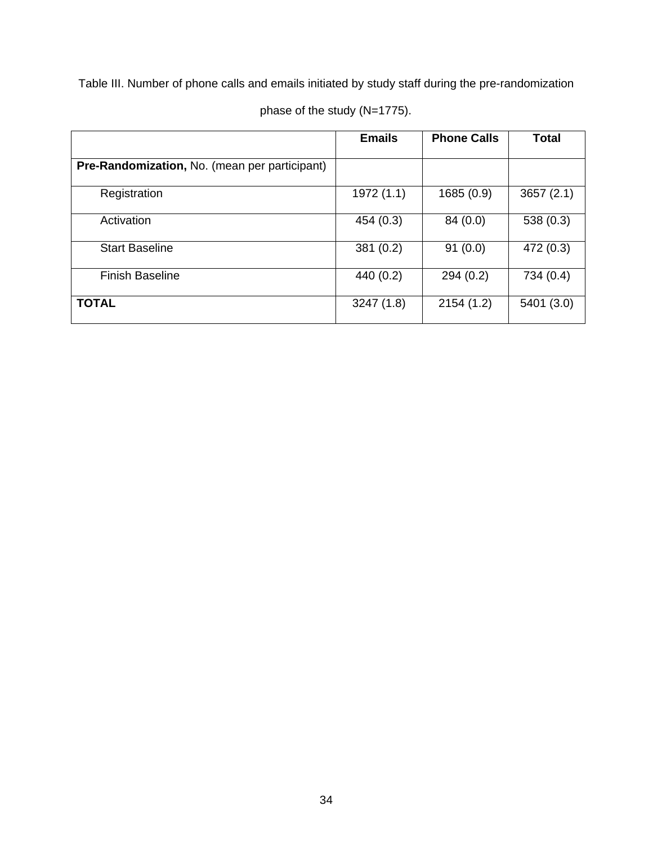Table III. Number of phone calls and emails initiated by study staff during the pre-randomization phase of the study (N=1775).

|                                               | <b>Emails</b> | <b>Phone Calls</b> | <b>Total</b> |
|-----------------------------------------------|---------------|--------------------|--------------|
| Pre-Randomization, No. (mean per participant) |               |                    |              |
| Registration                                  | 1972(1.1)     | 1685 (0.9)         | 3657(2.1)    |
| Activation                                    | 454 (0.3)     | 84 (0.0)           | 538(0.3)     |
| <b>Start Baseline</b>                         | 381(0.2)      | 91(0.0)            | 472 (0.3)    |
| <b>Finish Baseline</b>                        | 440 (0.2)     | 294(0.2)           | 734 (0.4)    |
| <b>TOTAL</b>                                  | 3247(1.8)     | 2154(1.2)          | 5401 (3.0)   |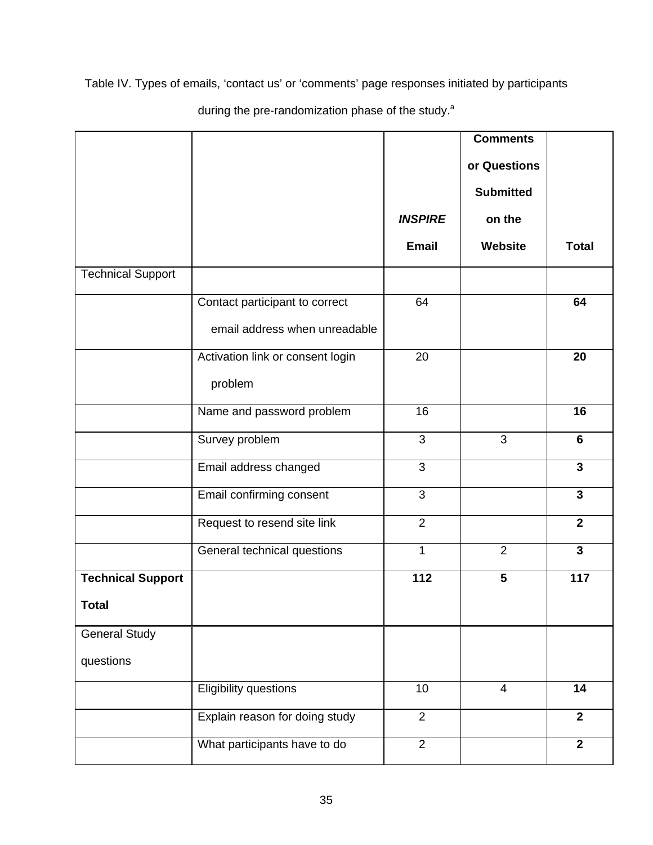Table IV. Types of emails, 'contact us' or 'comments' page responses initiated by participants

|                          |                                  |                | <b>Comments</b><br>or Questions<br><b>Submitted</b> |                         |
|--------------------------|----------------------------------|----------------|-----------------------------------------------------|-------------------------|
|                          |                                  | <b>INSPIRE</b> | on the                                              |                         |
|                          |                                  | <b>Email</b>   | Website                                             | <b>Total</b>            |
| <b>Technical Support</b> |                                  |                |                                                     |                         |
|                          | Contact participant to correct   | 64             |                                                     | 64                      |
|                          | email address when unreadable    |                |                                                     |                         |
|                          | Activation link or consent login | 20             |                                                     | 20                      |
|                          | problem                          |                |                                                     |                         |
|                          | Name and password problem        | 16             |                                                     | 16                      |
|                          | Survey problem                   | 3              | 3                                                   | $6\phantom{1}$          |
|                          | Email address changed            | 3              |                                                     | $\mathbf{3}$            |
|                          | Email confirming consent         | 3              |                                                     | $\overline{\mathbf{3}}$ |
|                          | Request to resend site link      | $\overline{2}$ |                                                     | $\overline{2}$          |
|                          | General technical questions      | $\mathbf{1}$   | $\overline{2}$                                      | $\overline{3}$          |
| <b>Technical Support</b> |                                  | 112            | 5                                                   | 117                     |
| Total                    |                                  |                |                                                     |                         |
| <b>General Study</b>     |                                  |                |                                                     |                         |
| questions                |                                  |                |                                                     |                         |
|                          | <b>Eligibility questions</b>     | 10             | $\overline{\mathcal{A}}$                            | 14                      |
|                          | Explain reason for doing study   | $\overline{2}$ |                                                     | $\overline{2}$          |
|                          | What participants have to do     | $\overline{2}$ |                                                     | $\overline{\mathbf{2}}$ |

during the pre-randomization phase of the study.<sup>a</sup>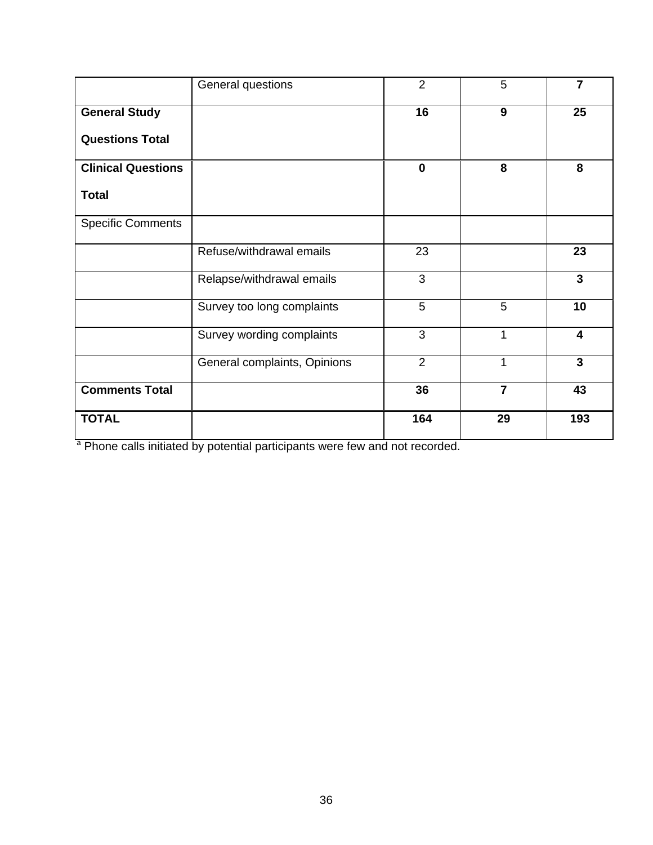|                           | General questions            | $\overline{2}$ | 5              | $\overline{7}$          |
|---------------------------|------------------------------|----------------|----------------|-------------------------|
| <b>General Study</b>      |                              | 16             | 9              | 25                      |
| <b>Questions Total</b>    |                              |                |                |                         |
| <b>Clinical Questions</b> |                              | $\mathbf 0$    | 8              | 8                       |
| <b>Total</b>              |                              |                |                |                         |
| <b>Specific Comments</b>  |                              |                |                |                         |
|                           | Refuse/withdrawal emails     | 23             |                | 23                      |
|                           | Relapse/withdrawal emails    | 3              |                | $\mathbf{3}$            |
|                           | Survey too long complaints   | 5              | 5              | 10                      |
|                           | Survey wording complaints    | 3              | 1              | $\overline{\mathbf{4}}$ |
|                           | General complaints, Opinions | $\overline{2}$ | 1              | 3                       |
| <b>Comments Total</b>     |                              | 36             | $\overline{7}$ | 43                      |
| <b>TOTAL</b>              |                              | 164            | 29             | 193                     |

<sup>a</sup> Phone calls initiated by potential participants were few and not recorded.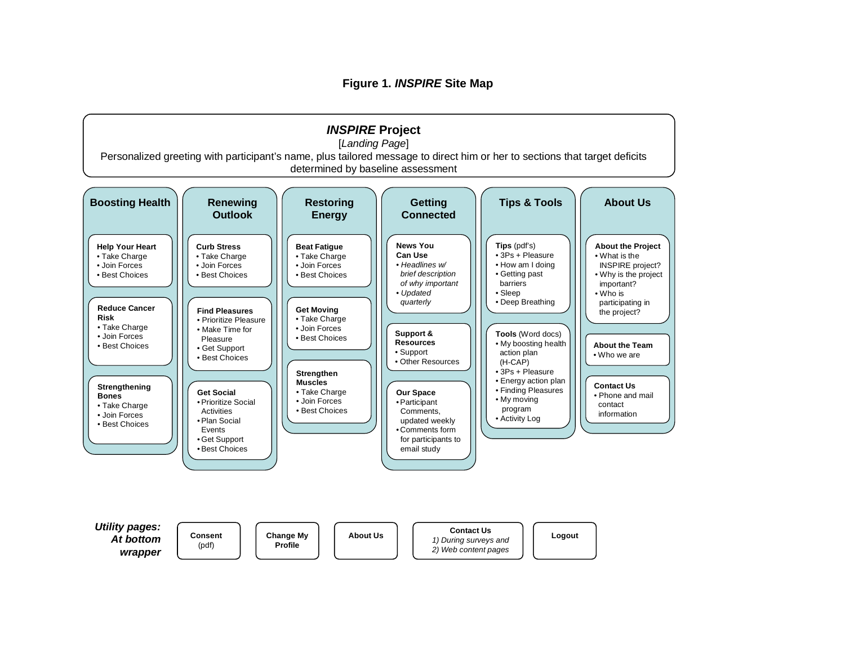# **Figure 1.** *INSPIRE* **Site Map**